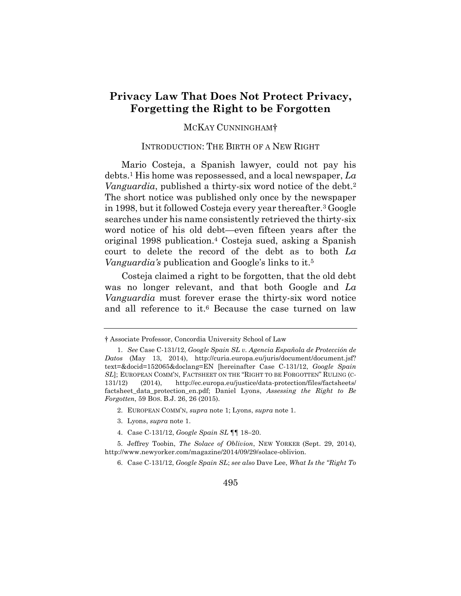# **Privacy Law That Does Not Protect Privacy, Forgetting the Right to be Forgotten**

# MCKAY CUNNINGHAM†

### INTRODUCTION: THE BIRTH OF A NEW RIGHT

Mario Costeja, a Spanish lawyer, could not pay his debts.1 His home was repossessed, and a local newspaper, *La Vanguardia*, published a thirty-six word notice of the debt.<sup>2</sup> The short notice was published only once by the newspaper in 1998, but it followed Costeja every year thereafter.3 Google searches under his name consistently retrieved the thirty-six word notice of his old debt—even fifteen years after the original 1998 publication.4 Costeja sued, asking a Spanish court to delete the record of the debt as to both *La Vanguardia's* publication and Google's links to it.5

Costeja claimed a right to be forgotten, that the old debt was no longer relevant, and that both Google and *La Vanguardia* must forever erase the thirty-six word notice and all reference to it.<sup>6</sup> Because the case turned on law

- 2. EUROPEAN COMM'N, *supra* note 1; Lyons, *supra* note 1.
- 3. Lyons, *supra* note 1.
- 4. Case C-131/12, *Google Spain SL* ¶¶ 18–20.

<sup>†</sup> Associate Professor, Concordia University School of Law

<sup>1.</sup> *See* Case C-131/12, *Google Spain SL v. Agencia Española de Protección de Datos* (May 13, 2014), http://curia.europa.eu/juris/document/document.jsf? text=&docid=152065&doclang=EN [hereinafter Case C-131/12, *Google Spain SL*]; EUROPEAN COMM'N, FACTSHEET ON THE "RIGHT TO BE FORGOTTEN" RULING (C-131/12) (2014), http://ec.europa.eu/justice/data-protection/files/factsheets/ factsheet\_data\_protection\_en.pdf; Daniel Lyons, *Assessing the Right to Be Forgotten*, 59 BOS. B.J. 26, 26 (2015).

<sup>5.</sup> Jeffrey Toobin, *The Solace of Oblivion*, NEW YORKER (Sept. 29, 2014), http://www.newyorker.com/magazine/2014/09/29/solace-oblivion.

<sup>6.</sup> Case C-131/12, *Google Spain SL*; *see also* Dave Lee, *What Is the "Right To*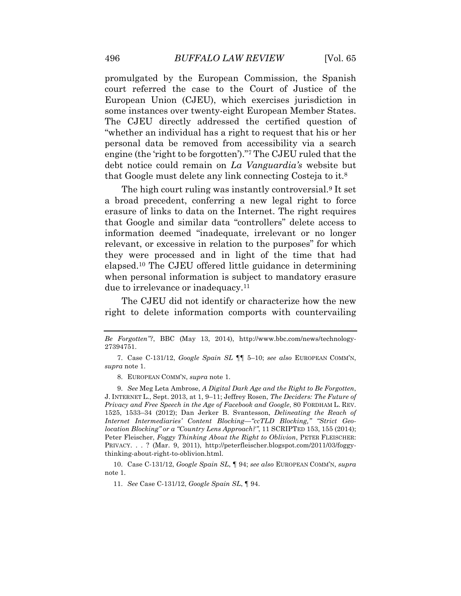promulgated by the European Commission, the Spanish court referred the case to the Court of Justice of the European Union (CJEU), which exercises jurisdiction in some instances over twenty-eight European Member States. The CJEU directly addressed the certified question of "whether an individual has a right to request that his or her personal data be removed from accessibility via a search engine (the 'right to be forgotten')."7 The CJEU ruled that the debt notice could remain on *La Vanguardia's* website but that Google must delete any link connecting Costeja to it.8

The high court ruling was instantly controversial.9 It set a broad precedent, conferring a new legal right to force erasure of links to data on the Internet. The right requires that Google and similar data "controllers" delete access to information deemed "inadequate, irrelevant or no longer relevant, or excessive in relation to the purposes" for which they were processed and in light of the time that had elapsed.10 The CJEU offered little guidance in determining when personal information is subject to mandatory erasure due to irrelevance or inadequacy.11

The CJEU did not identify or characterize how the new right to delete information comports with countervailing

8. EUROPEAN COMM'N, *supra* note 1.

9. *See* Meg Leta Ambrose, *A Digital Dark Age and the Right to Be Forgotten*, J. INTERNET L., Sept. 2013, at 1, 9–11; Jeffrey Rosen, *The Deciders: The Future of Privacy and Free Speech in the Age of Facebook and Google*, 80 FORDHAM L. REV. 1525, 1533–34 (2012); Dan Jerker B. Svantesson, *Delineating the Reach of Internet Intermediaries' Content Blocking—"ccTLD Blocking," "Strict Geolocation Blocking" or a "Country Lens Approach?"*, 11 SCRIPTED 153, 155 (2014); Peter Fleischer, *Foggy Thinking About the Right to Oblivion*, PETER FLEISCHER: PRIVACY. . . ? (Mar. 9, 2011), http://peterfleischer.blogspot.com/2011/03/foggythinking-about-right-to-oblivion.html.

10. Case C-131/12, *Google Spain SL*, ¶ 94; *see also* EUROPEAN COMM'N, *supra* note 1.

11. *See* Case C-131/12, *Google Spain SL*, ¶ 94.

*Be Forgotten"?*, BBC (May 13, 2014), http://www.bbc.com/news/technology-27394751.

<sup>7.</sup> Case C-131/12, *Google Spain SL* ¶¶ 5–10; *see also* EUROPEAN COMM'N, *supra* note 1.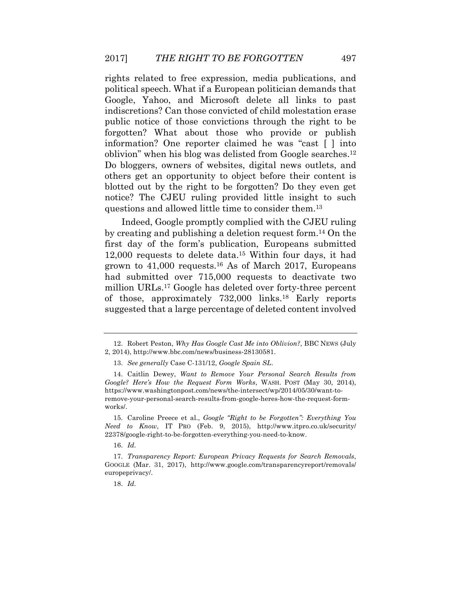rights related to free expression, media publications, and political speech. What if a European politician demands that Google, Yahoo, and Microsoft delete all links to past indiscretions? Can those convicted of child molestation erase public notice of those convictions through the right to be forgotten? What about those who provide or publish information? One reporter claimed he was "cast [ ] into oblivion" when his blog was delisted from Google searches.12 Do bloggers, owners of websites, digital news outlets, and others get an opportunity to object before their content is blotted out by the right to be forgotten? Do they even get notice? The CJEU ruling provided little insight to such questions and allowed little time to consider them.13

Indeed, Google promptly complied with the CJEU ruling by creating and publishing a deletion request form.14 On the first day of the form's publication, Europeans submitted 12,000 requests to delete data.15 Within four days, it had grown to 41,000 requests.16 As of March 2017, Europeans had submitted over 715,000 requests to deactivate two million URLs.17 Google has deleted over forty-three percent of those, approximately 732,000 links.18 Early reports suggested that a large percentage of deleted content involved

16. *Id.*

18. *Id.*

<sup>12.</sup> Robert Peston, *Why Has Google Cast Me into Oblivion?*, BBC NEWS (July 2, 2014), http://www.bbc.com/news/business-28130581.

<sup>13.</sup> *See generally* Case C-131/12, *Google Spain SL*.

<sup>14.</sup> Caitlin Dewey, *Want to Remove Your Personal Search Results from Google? Here's How the Request Form Works*, WASH. POST (May 30, 2014), https://www.washingtonpost.com/news/the-intersect/wp/2014/05/30/want-toremove-your-personal-search-results-from-google-heres-how-the-request-formworks/.

<sup>15.</sup> Caroline Preece et al., *Google "Right to be Forgotten": Everything You Need to Know*, IT PRO (Feb. 9, 2015), http://www.itpro.co.uk/security/ 22378/google-right-to-be-forgotten-everything-you-need-to-know.

<sup>17.</sup> *Transparency Report: European Privacy Requests for Search Removals*, GOOGLE (Mar. 31, 2017), http://www.google.com/transparencyreport/removals/ europeprivacy/.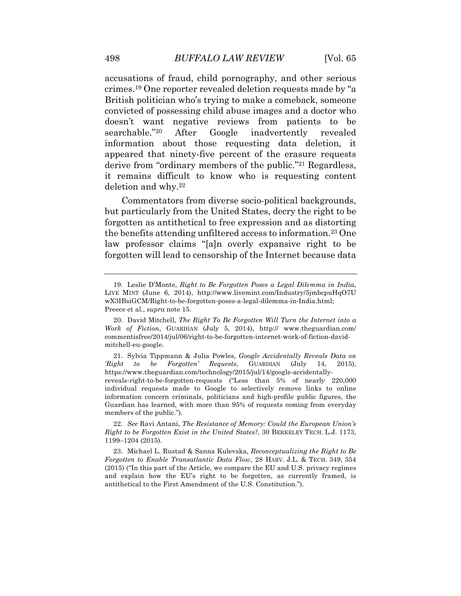accusations of fraud, child pornography, and other serious crimes.19 One reporter revealed deletion requests made by "a British politician who's trying to make a comeback, someone convicted of possessing child abuse images and a doctor who doesn't want negative reviews from patients to be searchable."20 After Google inadvertently revealed information about those requesting data deletion, it appeared that ninety-five percent of the erasure requests derive from "ordinary members of the public."21 Regardless, it remains difficult to know who is requesting content deletion and why.22

Commentators from diverse socio-political backgrounds, but particularly from the United States, decry the right to be forgotten as antithetical to free expression and as distorting the benefits attending unfiltered access to information.23 One law professor claims "[a]n overly expansive right to be forgotten will lead to censorship of the Internet because data

<sup>19.</sup> Leslie D'Monte, *Right to Be Forgotten Poses a Legal Dilemma in India*, LIVE MINT (June 6, 2014), http://www.livemint.com/Industry/5jmbcpuHqO7U wX3IBsiGCM/Right-to-be-forgotten-poses-a-legal-dilemma-in-India.html; Preece et al., *supra* note 15.

<sup>20.</sup> David Mitchell, *The Right To Be Forgotten Will Turn the Internet into a Work of Fiction*, GUARDIAN (July 5, 2014), http:// www.theguardian.com/ commentisfree/2014/jul/06/right-to-be-forgotten-internet-work-of-fiction-davidmitchell-eu-google.

<sup>21.</sup> Sylvia Tippmann & Julia Powles, *Google Accidentally Reveals Data on 'Right to be Forgotten' Requests*, GUARDIAN (July 14, 2015), https://www.theguardian.com/technology/2015/jul/14/google-accidentallyreveals-right-to-be-forgotten-requests ("Less than 5% of nearly 220,000 individual requests made to Google to selectively remove links to online information concern criminals, politicians and high-profile public figures, the Guardian has learned, with more than 95% of requests coming from everyday members of the public.").

<sup>22.</sup> *See* Ravi Antani, *The Resistance of Memory: Could the European Union's Right to be Forgotten Exist in the United States?*, 30 BERKELEY TECH. L.J. 1173, 1199–1204 (2015).

<sup>23.</sup> Michael L. Rustad & Sanna Kulevska, *Reconceptualizing the Right to Be Forgotten to Enable Transatlantic Data Flow*, 28 HARV. J.L. & TECH. 349, 354 (2015) ("In this part of the Article, we compare the EU and U.S. privacy regimes and explain how the EU's right to be forgotten, as currently framed, is antithetical to the First Amendment of the U.S. Constitution.").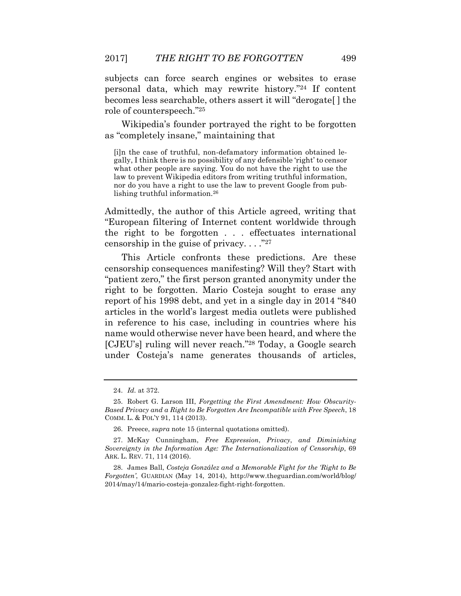subjects can force search engines or websites to erase personal data, which may rewrite history."24 If content becomes less searchable, others assert it will "derogate[ ] the role of counterspeech."25

Wikipedia's founder portrayed the right to be forgotten as "completely insane," maintaining that

[i]n the case of truthful, non-defamatory information obtained legally, I think there is no possibility of any defensible 'right' to censor what other people are saying. You do not have the right to use the law to prevent Wikipedia editors from writing truthful information, nor do you have a right to use the law to prevent Google from publishing truthful information.26

Admittedly, the author of this Article agreed, writing that "European filtering of Internet content worldwide through the right to be forgotten . . . effectuates international censorship in the guise of privacy.  $\ldots$ <sup>"27</sup>

This Article confronts these predictions. Are these censorship consequences manifesting? Will they? Start with "patient zero," the first person granted anonymity under the right to be forgotten. Mario Costeja sought to erase any report of his 1998 debt, and yet in a single day in 2014 "840 articles in the world's largest media outlets were published in reference to his case, including in countries where his name would otherwise never have been heard, and where the [CJEU's] ruling will never reach."28 Today, a Google search under Costeja's name generates thousands of articles,

<sup>24.</sup> *Id.* at 372.

<sup>25.</sup> Robert G. Larson III, *Forgetting the First Amendment: How Obscurity-Based Privacy and a Right to Be Forgotten Are Incompatible with Free Speech*, 18 COMM. L. & POL'Y 91, 114 (2013).

<sup>26.</sup> Preece, *supra* note 15 (internal quotations omitted).

<sup>27.</sup> McKay Cunningham, *Free Expression*, *Privacy*, *and Diminishing Sovereignty in the Information Age: The Internationalization of Censorship*, 69 ARK. L. REV. 71, 114 (2016).

<sup>28.</sup> James Ball, *Costeja González and a Memorable Fight for the 'Right to Be Forgotten'*, GUARDIAN (May 14, 2014), http://www.theguardian.com/world/blog/ 2014/may/14/mario-costeja-gonzalez-fight-right-forgotten.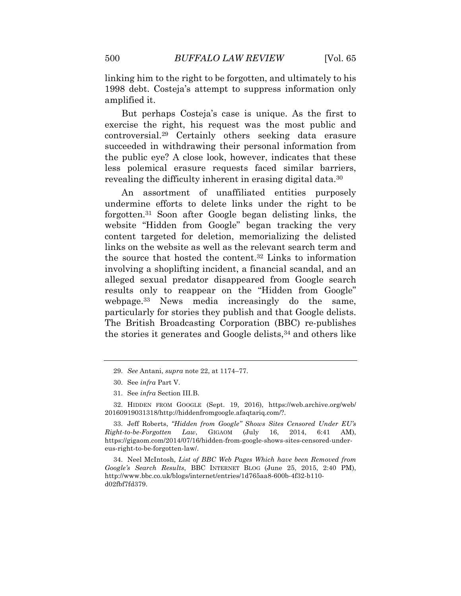linking him to the right to be forgotten, and ultimately to his 1998 debt. Costeja's attempt to suppress information only amplified it.

But perhaps Costeja's case is unique. As the first to exercise the right, his request was the most public and controversial.29 Certainly others seeking data erasure succeeded in withdrawing their personal information from the public eye? A close look, however, indicates that these less polemical erasure requests faced similar barriers, revealing the difficulty inherent in erasing digital data.30

An assortment of unaffiliated entities purposely undermine efforts to delete links under the right to be forgotten.31 Soon after Google began delisting links, the website "Hidden from Google" began tracking the very content targeted for deletion, memorializing the delisted links on the website as well as the relevant search term and the source that hosted the content.32 Links to information involving a shoplifting incident, a financial scandal, and an alleged sexual predator disappeared from Google search results only to reappear on the "Hidden from Google" webpage.33 News media increasingly do the same, particularly for stories they publish and that Google delists. The British Broadcasting Corporation (BBC) re-publishes the stories it generates and Google delists,34 and others like

32. HIDDEN FROM GOOGLE (Sept. 19, 2016), https://web.archive.org/web/ 20160919031318/http://hiddenfromgoogle.afaqtariq.com/?.

33. Jeff Roberts, *"Hidden from Google" Shows Sites Censored Under EU's Right-to-be-Forgotten Law*, GIGAOM (July 16, 2014, 6:41 AM), https://gigaom.com/2014/07/16/hidden-from-google-shows-sites-censored-undereus-right-to-be-forgotten-law/.

34. Neel McIntosh, *List of BBC Web Pages Which have been Removed from Google's Search Results*, BBC INTERNET BLOG (June 25, 2015, 2:40 PM), http://www.bbc.co.uk/blogs/internet/entries/1d765aa8-600b-4f32-b110 d02fbf7fd379.

<sup>29.</sup> *See* Antani, *supra* note 22, at 1174–77.

<sup>30.</sup> See *infra* Part V.

<sup>31.</sup> See *infra* Section III.B.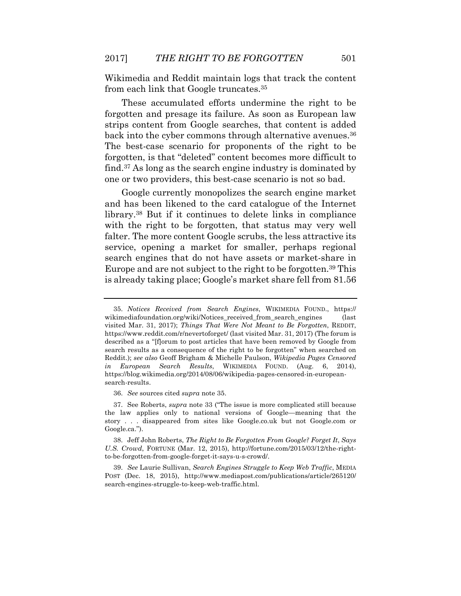Wikimedia and Reddit maintain logs that track the content from each link that Google truncates.35

These accumulated efforts undermine the right to be forgotten and presage its failure. As soon as European law strips content from Google searches, that content is added back into the cyber commons through alternative avenues.<sup>36</sup> The best-case scenario for proponents of the right to be forgotten, is that "deleted" content becomes more difficult to find.37 As long as the search engine industry is dominated by one or two providers, this best-case scenario is not so bad.

Google currently monopolizes the search engine market and has been likened to the card catalogue of the Internet library.38 But if it continues to delete links in compliance with the right to be forgotten, that status may very well falter. The more content Google scrubs, the less attractive its service, opening a market for smaller, perhaps regional search engines that do not have assets or market-share in Europe and are not subject to the right to be forgotten.39 This is already taking place; Google's market share fell from 81.56

36. *See* sources cited *supra* note 35.

37. See Roberts, *supra* note 33 ("The issue is more complicated still because the law applies only to national versions of Google—meaning that the story . . . disappeared from sites like Google.co.uk but not Google.com or Google.ca.").

<sup>35.</sup> *Notices Received from Search Engines*, WIKIMEDIA FOUND., https:// wikimediafoundation.org/wiki/Notices\_received\_from\_search\_engines (last visited Mar. 31, 2017); *Things That Were Not Meant to Be Forgotten*, REDDIT, https://www.reddit.com/r/nevertoforget/ (last visited Mar. 31, 2017) (The forum is described as a "[f]orum to post articles that have been removed by Google from search results as a consequence of the right to be forgotten" when searched on Reddit.); *see also* Geoff Brigham & Michelle Paulson, *Wikipedia Pages Censored in European Search Results*, WIKIMEDIA FOUND. (Aug. 6, 2014), https://blog.wikimedia.org/2014/08/06/wikipedia-pages-censored-in-europeansearch-results.

<sup>38.</sup> Jeff John Roberts, *The Right to Be Forgotten From Google? Forget It*, *Says U.S. Crowd*, FORTUNE (Mar. 12, 2015), http://fortune.com/2015/03/12/the-rightto-be-forgotten-from-google-forget-it-says-u-s-crowd/.

<sup>39.</sup> *See* Laurie Sullivan, *Search Engines Struggle to Keep Web Traffic*, MEDIA POST (Dec. 18, 2015), http://www.mediapost.com/publications/article/265120/ search-engines-struggle-to-keep-web-traffic.html.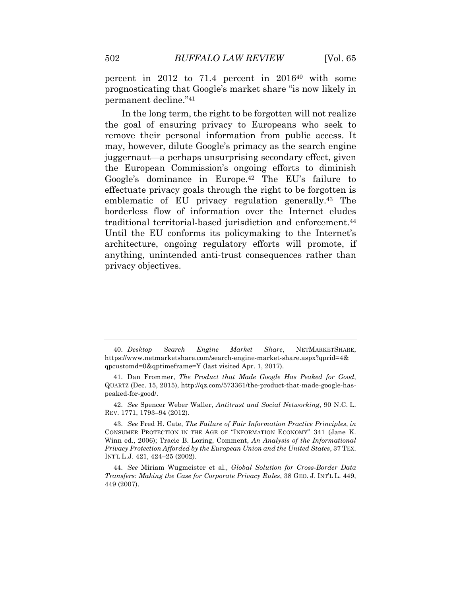percent in  $2012$  to 71.4 percent in  $2016^{40}$  with some prognosticating that Google's market share "is now likely in permanent decline."41

In the long term, the right to be forgotten will not realize the goal of ensuring privacy to Europeans who seek to remove their personal information from public access. It may, however, dilute Google's primacy as the search engine juggernaut—a perhaps unsurprising secondary effect, given the European Commission's ongoing efforts to diminish Google's dominance in Europe.42 The EU's failure to effectuate privacy goals through the right to be forgotten is emblematic of EU privacy regulation generally.43 The borderless flow of information over the Internet eludes traditional territorial-based jurisdiction and enforcement.<sup>44</sup> Until the EU conforms its policymaking to the Internet's architecture, ongoing regulatory efforts will promote, if anything, unintended anti-trust consequences rather than privacy objectives.

42. *See* Spencer Weber Waller, *Antitrust and Social Networking*, 90 N.C. L. REV. 1771, 1793–94 (2012).

43. *See* Fred H. Cate, *The Failure of Fair Information Practice Principles*, *in* CONSUMER PROTECTION IN THE AGE OF "INFORMATION ECONOMY" 341 (Jane K. Winn ed., 2006); Tracie B. Loring, Comment, *An Analysis of the Informational Privacy Protection Afforded by the European Union and the United States*, 37 TEX. INT'L L.J. 421, 424–25 (2002).

44. *See* Miriam Wugmeister et al., *Global Solution for Cross-Border Data Transfers: Making the Case for Corporate Privacy Rules*, 38 GEO. J. INT'L L. 449, 449 (2007).

<sup>40.</sup> *Desktop Search Engine Market Share*, NETMARKETSHARE, https://www.netmarketshare.com/search-engine-market-share.aspx?qprid=4& qpcustomd=0&qptimeframe=Y (last visited Apr. 1, 2017).

<sup>41.</sup> Dan Frommer, *The Product that Made Google Has Peaked for Good*, QUARTZ (Dec. 15, 2015), http://qz.com/573361/the-product-that-made-google-haspeaked-for-good/.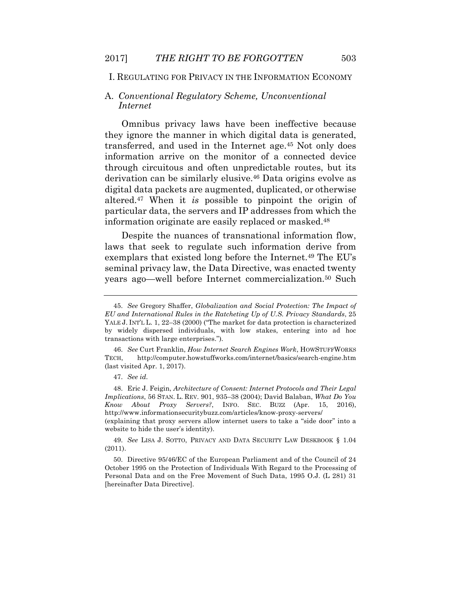# I. REGULATING FOR PRIVACY IN THE INFORMATION ECONOMY

# A. *Conventional Regulatory Scheme, Unconventional Internet*

Omnibus privacy laws have been ineffective because they ignore the manner in which digital data is generated, transferred, and used in the Internet age.45 Not only does information arrive on the monitor of a connected device through circuitous and often unpredictable routes, but its derivation can be similarly elusive.46 Data origins evolve as digital data packets are augmented, duplicated, or otherwise altered.47 When it *is* possible to pinpoint the origin of particular data, the servers and IP addresses from which the information originate are easily replaced or masked.48

Despite the nuances of transnational information flow, laws that seek to regulate such information derive from exemplars that existed long before the Internet.49 The EU's seminal privacy law, the Data Directive, was enacted twenty years ago—well before Internet commercialization.<sup>50</sup> Such

48. Eric J. Feigin, *Architecture of Consent: Internet Protocols and Their Legal Implications*, 56 STAN. L. REV. 901, 935–38 (2004); David Balaban, *What Do You Know About Proxy Servers?*, INFO. SEC. BUZZ (Apr. 15, 2016), http://www.informationsecuritybuzz.com/articles/know-proxy-servers/

(explaining that proxy servers allow internet users to take a "side door" into a website to hide the user's identity).

49. *See* LISA J. SOTTO, PRIVACY AND DATA SECURITY LAW DESKBOOK § 1.04 (2011).

50. Directive 95/46/EC of the European Parliament and of the Council of 24 October 1995 on the Protection of Individuals With Regard to the Processing of Personal Data and on the Free Movement of Such Data, 1995 O.J. (L 281) 31 [hereinafter Data Directive].

<sup>45.</sup> *See* Gregory Shaffer, *Globalization and Social Protection: The Impact of EU and International Rules in the Ratcheting Up of U.S. Privacy Standards*, 25 YALE J. INT'L L. 1, 22-38 (2000) ("The market for data protection is characterized by widely dispersed individuals, with low stakes, entering into ad hoc transactions with large enterprises.").

<sup>46.</sup> *See* Curt Franklin, *How Internet Search Engines Work*, HOWSTUFFWORKS TECH, http://computer.howstuffworks.com/internet/basics/search-engine.htm (last visited Apr. 1, 2017).

<sup>47.</sup> *See id.*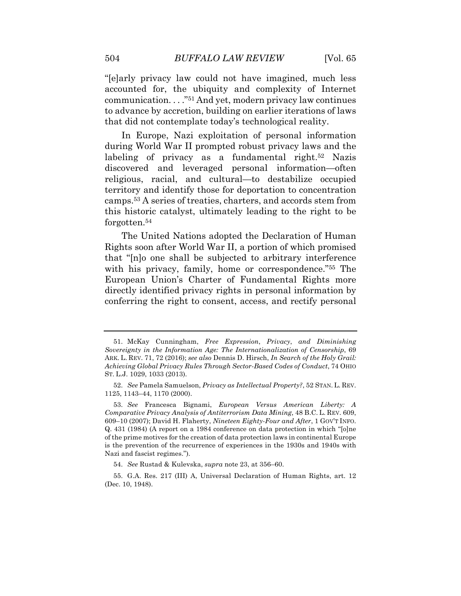"[e]arly privacy law could not have imagined, much less accounted for, the ubiquity and complexity of Internet communication. . . ."51 And yet, modern privacy law continues to advance by accretion, building on earlier iterations of laws that did not contemplate today's technological reality.

In Europe, Nazi exploitation of personal information during World War II prompted robust privacy laws and the labeling of privacy as a fundamental right.<sup>52</sup> Nazis discovered and leveraged personal information—often religious, racial, and cultural—to destabilize occupied territory and identify those for deportation to concentration camps.53 A series of treaties, charters, and accords stem from this historic catalyst, ultimately leading to the right to be forgotten.54

The United Nations adopted the Declaration of Human Rights soon after World War II, a portion of which promised that "[n]o one shall be subjected to arbitrary interference with his privacy, family, home or correspondence."55 The European Union's Charter of Fundamental Rights more directly identified privacy rights in personal information by conferring the right to consent, access, and rectify personal

<sup>51.</sup> McKay Cunningham, *Free Expression*, *Privacy*, *and Diminishing Sovereignty in the Information Age: The Internationalization of Censorship*, 69 ARK. L. REV. 71, 72 (2016); *see also* Dennis D. Hirsch, *In Search of the Holy Grail: Achieving Global Privacy Rules Through Sector-Based Codes of Conduct*, 74 OHIO ST. L.J. 1029, 1033 (2013).

<sup>52.</sup> *See* Pamela Samuelson, *Privacy as Intellectual Property?*, 52 STAN. L. REV. 1125, 1143–44, 1170 (2000).

<sup>53.</sup> *See* Francesca Bignami, *European Versus American Liberty: A Comparative Privacy Analysis of Antiterrorism Data Mining*, 48 B.C. L. REV. 609, 609–10 (2007); David H. Flaherty, *Nineteen Eighty-Four and After*, 1 GOV'T INFO. Q. 431 (1984) (A report on a 1984 conference on data protection in which "[o]ne of the prime motives for the creation of data protection laws in continental Europe is the prevention of the recurrence of experiences in the 1930s and 1940s with Nazi and fascist regimes.").

<sup>54.</sup> *See* Rustad & Kulevska, *supra* note 23, at 356–60.

<sup>55.</sup> G.A. Res. 217 (III) A, Universal Declaration of Human Rights, art. 12 (Dec. 10, 1948).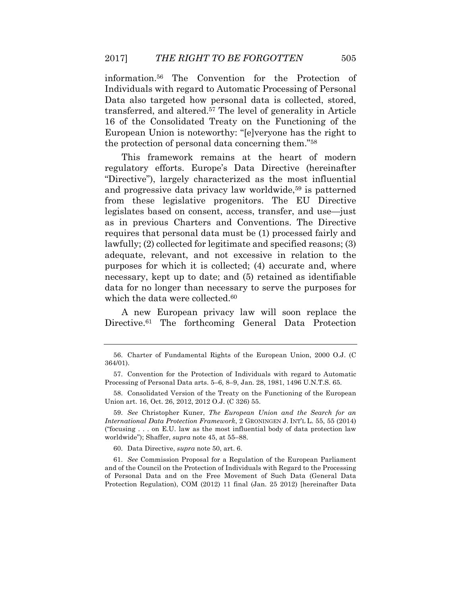information.56 The Convention for the Protection of Individuals with regard to Automatic Processing of Personal Data also targeted how personal data is collected, stored, transferred, and altered.57 The level of generality in Article 16 of the Consolidated Treaty on the Functioning of the European Union is noteworthy: "[e]veryone has the right to the protection of personal data concerning them."58

This framework remains at the heart of modern regulatory efforts. Europe's Data Directive (hereinafter "Directive"), largely characterized as the most influential and progressive data privacy law worldwide,<sup>59</sup> is patterned from these legislative progenitors. The EU Directive legislates based on consent, access, transfer, and use—just as in previous Charters and Conventions. The Directive requires that personal data must be (1) processed fairly and lawfully; (2) collected for legitimate and specified reasons; (3) adequate, relevant, and not excessive in relation to the purposes for which it is collected; (4) accurate and, where necessary, kept up to date; and (5) retained as identifiable data for no longer than necessary to serve the purposes for which the data were collected.<sup>60</sup>

A new European privacy law will soon replace the Directive.<sup>61</sup> The forthcoming General Data Protection

58. Consolidated Version of the Treaty on the Functioning of the European Union art. 16, Oct. 26, 2012, 2012 O.J. (C 326) 55.

59. *See* Christopher Kuner, *The European Union and the Search for an International Data Protection Framework*, 2 GRONINGEN J. INT'L L. 55, 55 (2014) ("focusing  $\ldots$  on E.U. law as the most influential body of data protection law worldwide"); Shaffer, *supra* note 45, at 55–88.

60. Data Directive, *supra* note 50, art. 6.

61. *See* Commission Proposal for a Regulation of the European Parliament and of the Council on the Protection of Individuals with Regard to the Processing of Personal Data and on the Free Movement of Such Data (General Data Protection Regulation), COM (2012) 11 final (Jan. 25 2012) [hereinafter Data

<sup>56.</sup> Charter of Fundamental Rights of the European Union, 2000 O.J. (C 364/01).

<sup>57.</sup> Convention for the Protection of Individuals with regard to Automatic Processing of Personal Data arts. 5–6, 8–9, Jan. 28, 1981, 1496 U.N.T.S. 65.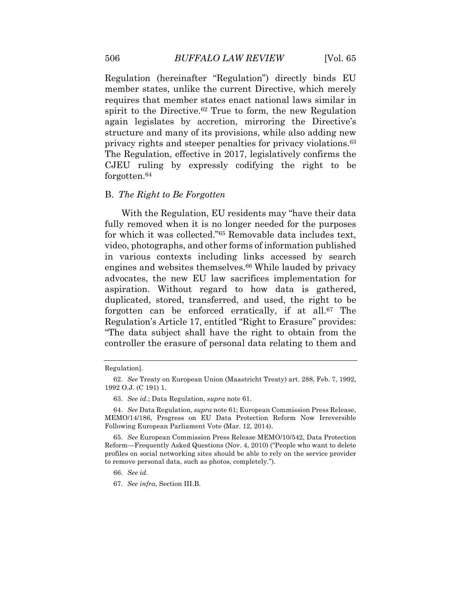Regulation (hereinafter "Regulation") directly binds EU member states, unlike the current Directive, which merely requires that member states enact national laws similar in spirit to the Directive.<sup>62</sup> True to form, the new Regulation again legislates by accretion, mirroring the Directive's structure and many of its provisions, while also adding new privacy rights and steeper penalties for privacy violations.63 The Regulation, effective in 2017, legislatively confirms the CJEU ruling by expressly codifying the right to be forgotten.64

#### B. *The Right to Be Forgotten*

With the Regulation, EU residents may "have their data fully removed when it is no longer needed for the purposes for which it was collected."65 Removable data includes text, video, photographs, and other forms of information published in various contexts including links accessed by search engines and websites themselves.<sup>66</sup> While lauded by privacy advocates, the new EU law sacrifices implementation for aspiration. Without regard to how data is gathered, duplicated, stored, transferred, and used, the right to be forgotten can be enforced erratically, if at all.67 The Regulation's Article 17, entitled "Right to Erasure" provides: "The data subject shall have the right to obtain from the controller the erasure of personal data relating to them and

67. *See infra*, Section III.B.

Regulation].

<sup>62.</sup> *See* Treaty on European Union (Maastricht Treaty) art. 288, Feb. 7, 1992, 1992 O.J. (C 191) 1.

<sup>63.</sup> *See id.*; Data Regulation, *supra* note 61.

<sup>64.</sup> *See* Data Regulation, *supra* note 61; European Commission Press Release, MEMO/14/186, Progress on EU Data Protection Reform Now Irreversible Following European Parliament Vote (Mar. 12, 2014).

<sup>65.</sup> *See* European Commission Press Release MEMO/10/542, Data Protection Reform—Frequently Asked Questions (Nov. 4, 2010) ("People who want to delete profiles on social networking sites should be able to rely on the service provider to remove personal data, such as photos, completely.").

<sup>66.</sup> *See id*.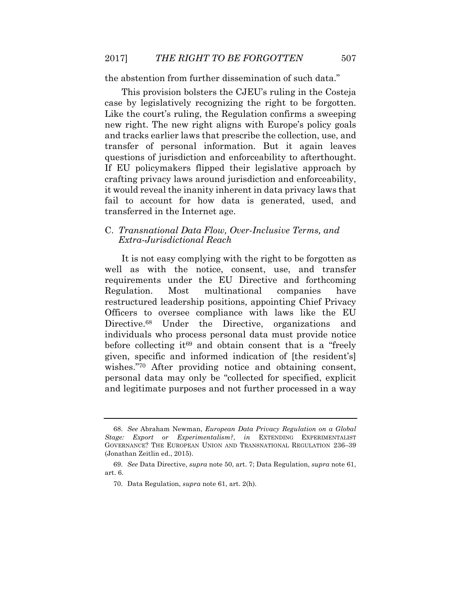the abstention from further dissemination of such data."

This provision bolsters the CJEU's ruling in the Costeja case by legislatively recognizing the right to be forgotten. Like the court's ruling, the Regulation confirms a sweeping new right. The new right aligns with Europe's policy goals and tracks earlier laws that prescribe the collection, use, and transfer of personal information. But it again leaves questions of jurisdiction and enforceability to afterthought. If EU policymakers flipped their legislative approach by crafting privacy laws around jurisdiction and enforceability, it would reveal the inanity inherent in data privacy laws that fail to account for how data is generated, used, and transferred in the Internet age.

## C. *Transnational Data Flow, Over-Inclusive Terms, and Extra-Jurisdictional Reach*

It is not easy complying with the right to be forgotten as well as with the notice, consent, use, and transfer requirements under the EU Directive and forthcoming Regulation. Most multinational companies have restructured leadership positions, appointing Chief Privacy Officers to oversee compliance with laws like the EU Directive.<sup>68</sup> Under the Directive, organizations and individuals who process personal data must provide notice before collecting it<sup>69</sup> and obtain consent that is a "freely given, specific and informed indication of [the resident's] wishes."70 After providing notice and obtaining consent, personal data may only be "collected for specified, explicit and legitimate purposes and not further processed in a way

<sup>68.</sup> *See* Abraham Newman, *European Data Privacy Regulation on a Global Stage: Export or Experimentalism?*, *in* EXTENDING EXPERIMENTALIST GOVERNANCE? THE EUROPEAN UNION AND TRANSNATIONAL REGULATION 236–39 (Jonathan Zeitlin ed., 2015).

<sup>69.</sup> *See* Data Directive, *supra* note 50, art. 7; Data Regulation, *supra* note 61, art. 6.

<sup>70.</sup> Data Regulation, *supra* note 61, art. 2(h).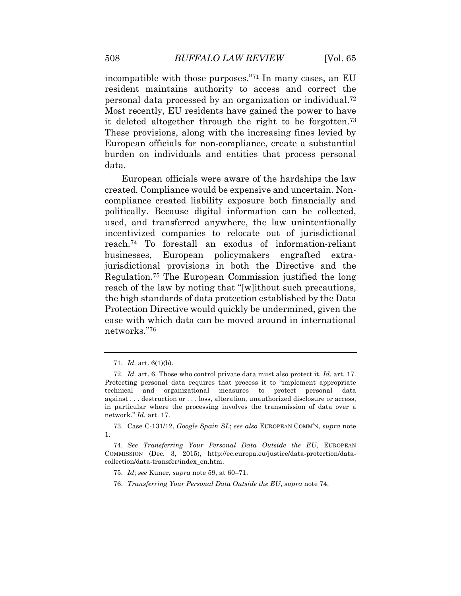incompatible with those purposes."71 In many cases, an EU resident maintains authority to access and correct the personal data processed by an organization or individual.72 Most recently, EU residents have gained the power to have it deleted altogether through the right to be forgotten.73 These provisions, along with the increasing fines levied by European officials for non-compliance, create a substantial burden on individuals and entities that process personal data.

European officials were aware of the hardships the law created. Compliance would be expensive and uncertain. Noncompliance created liability exposure both financially and politically. Because digital information can be collected, used, and transferred anywhere, the law unintentionally incentivized companies to relocate out of jurisdictional reach.74 To forestall an exodus of information-reliant businesses, European policymakers engrafted extrajurisdictional provisions in both the Directive and the Regulation.75 The European Commission justified the long reach of the law by noting that "[w]ithout such precautions, the high standards of data protection established by the Data Protection Directive would quickly be undermined, given the ease with which data can be moved around in international networks."76

<sup>71.</sup> *Id.* art. 6(1)(b).

<sup>72.</sup> *Id.* art. 6. Those who control private data must also protect it. *Id.* art. 17. Protecting personal data requires that process it to "implement appropriate technical and organizational measures to protect personal data against . . . destruction or . . . loss, alteration, unauthorized disclosure or access, in particular where the processing involves the transmission of data over a network." *Id.* art. 17.

<sup>73.</sup> Case C-131/12, *Google Spain SL*; *see also* EUROPEAN COMM'N, *supra* note 1.

<sup>74.</sup> *See Transferring Your Personal Data Outside the EU*, EUROPEAN COMMISSION (Dec. 3, 2015), http://ec.europa.eu/justice/data-protection/datacollection/data-transfer/index\_en.htm.

<sup>75.</sup> *Id*; *see* Kuner, *supra* note 59, at 60–71.

<sup>76.</sup> *Transferring Your Personal Data Outside the EU*, *supra* note 74.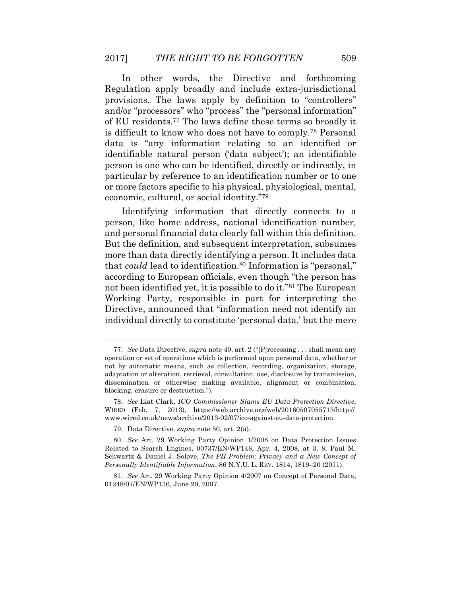In other words, the Directive and forthcoming Regulation apply broadly and include extra-jurisdictional provisions. The laws apply by definition to "controllers" and/or "processors" who "process" the "personal information" of EU residents.77 The laws define these terms so broadly it is difficult to know who does not have to comply.78 Personal data is "any information relating to an identified or identifiable natural person ('data subject'); an identifiable person is one who can be identified, directly or indirectly, in particular by reference to an identification number or to one or more factors specific to his physical, physiological, mental, economic, cultural, or social identity."79

Identifying information that directly connects to a person, like home address, national identification number, and personal financial data clearly fall within this definition. But the definition, and subsequent interpretation, subsumes more than data directly identifying a person. It includes data that *could* lead to identification.<sup>80</sup> Information is "personal," according to European officials, even though "the person has not been identified yet, it is possible to do it."81 The European Working Party, responsible in part for interpreting the Directive, announced that "information need not identify an individual directly to constitute 'personal data,' but the mere

<sup>77.</sup> *See* Data Directive, *supra* note 40, art. 2 ("[P]rocessing . . . shall mean any operation or set of operations which is performed upon personal data, whether or not by automatic means, such as collection, recording, organization, storage, adaptation or alteration, retrieval, consultation, use, disclosure by transmission, dissemination or otherwise making available, alignment or combination, blocking, erasure or destruction.").

<sup>78.</sup> *See* Liat Clark, *ICO Commissioner Slams EU Data Protection Directive*, WIRED (Feb. 7, 2013), https://web.archive.org/web/20160507055713/http:// www.wired.co.uk/news/archive/2013-02/07/ico-against-eu-data-protection.

<sup>79.</sup> Data Directive, *supra* note 50, art. 2(a).

<sup>80.</sup> *See* Art. 29 Working Party Opinion 1/2008 on Data Protection Issues Related to Search Engines, 00737/EN/WP148, Apr. 4, 2008, at 3, 8; Paul M. Schwartz & Daniel J. Solove, *The PII Problem: Privacy and a New Concept of Personally Identifiable Information*, 86 N.Y.U. L. REV. 1814, 1819–20 (2011).

<sup>81.</sup> *See* Art. 29 Working Party Opinion 4/2007 on Concept of Personal Data, 01248/07/EN/WP136, June 20, 2007.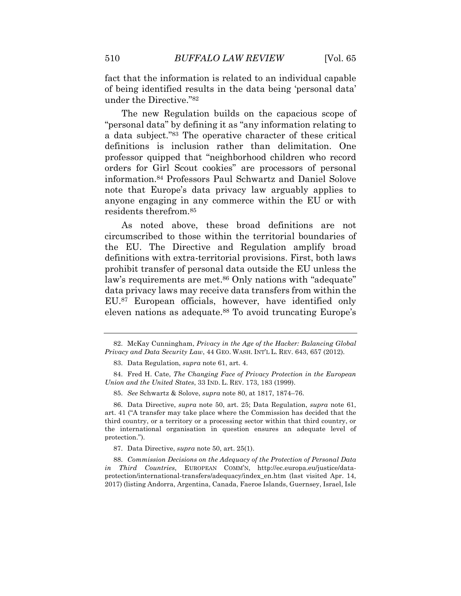fact that the information is related to an individual capable of being identified results in the data being 'personal data' under the Directive."82

The new Regulation builds on the capacious scope of "personal data" by defining it as "any information relating to a data subject."83 The operative character of these critical definitions is inclusion rather than delimitation. One professor quipped that "neighborhood children who record orders for Girl Scout cookies" are processors of personal information.84 Professors Paul Schwartz and Daniel Solove note that Europe's data privacy law arguably applies to anyone engaging in any commerce within the EU or with residents therefrom.85

As noted above, these broad definitions are not circumscribed to those within the territorial boundaries of the EU. The Directive and Regulation amplify broad definitions with extra-territorial provisions. First, both laws prohibit transfer of personal data outside the EU unless the law's requirements are met.<sup>86</sup> Only nations with "adequate" data privacy laws may receive data transfers from within the EU.87 European officials, however, have identified only eleven nations as adequate.<sup>88</sup> To avoid truncating Europe's

<sup>82.</sup> McKay Cunningham, *Privacy in the Age of the Hacker: Balancing Global Privacy and Data Security Law*, 44 GEO. WASH. INT'L L. REV. 643, 657 (2012).

<sup>83.</sup> Data Regulation, *supra* note 61, art. 4.

<sup>84.</sup> Fred H. Cate, *The Changing Face of Privacy Protection in the European Union and the United States*, 33 IND. L. REV. 173, 183 (1999).

<sup>85.</sup> *See* Schwartz & Solove, *supra* note 80, at 1817, 1874–76.

<sup>86.</sup> Data Directive, *supra* note 50, art. 25; Data Regulation, *supra* note 61, art. 41 ("A transfer may take place where the Commission has decided that the third country, or a territory or a processing sector within that third country, or the international organisation in question ensures an adequate level of protection.").

<sup>87.</sup> Data Directive, *supra* note 50, art. 25(1).

<sup>88.</sup> *Commission Decisions on the Adequacy of the Protection of Personal Data in Third Countries*, EUROPEAN COMM'N, http://ec.europa.eu/justice/dataprotection/international-transfers/adequacy/index\_en.htm (last visited Apr. 14, 2017) (listing Andorra, Argentina, Canada, Faeroe Islands, Guernsey, Israel, Isle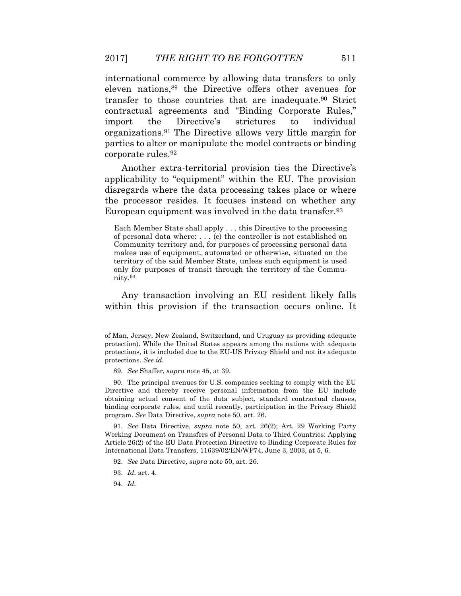international commerce by allowing data transfers to only eleven nations,89 the Directive offers other avenues for transfer to those countries that are inadequate.90 Strict contractual agreements and "Binding Corporate Rules," import the Directive's strictures to individual organizations.91 The Directive allows very little margin for parties to alter or manipulate the model contracts or binding corporate rules.92

Another extra-territorial provision ties the Directive's applicability to "equipment" within the EU. The provision disregards where the data processing takes place or where the processor resides. It focuses instead on whether any European equipment was involved in the data transfer.93

Each Member State shall apply . . . this Directive to the processing of personal data where: . . . (c) the controller is not established on Community territory and, for purposes of processing personal data makes use of equipment, automated or otherwise, situated on the territory of the said Member State, unless such equipment is used only for purposes of transit through the territory of the Community.94

Any transaction involving an EU resident likely falls within this provision if the transaction occurs online. It

91. *See* Data Directive, *supra* note 50, art. 26(2); Art. 29 Working Party Working Document on Transfers of Personal Data to Third Countries: Applying Article 26(2) of the EU Data Protection Directive to Binding Corporate Rules for International Data Transfers, 11639/02/EN/WP74, June 3, 2003, at 5, 6.

94. *Id.*

of Man, Jersey, New Zealand, Switzerland, and Uruguay as providing adequate protection). While the United States appears among the nations with adequate protections, it is included due to the EU-US Privacy Shield and not its adequate protections. *See id.*

<sup>89.</sup> *See* Shaffer, *supra* note 45, at 39.

<sup>90.</sup> The principal avenues for U.S. companies seeking to comply with the EU Directive and thereby receive personal information from the EU include obtaining actual consent of the data subject, standard contractual clauses, binding corporate rules, and until recently, participation in the Privacy Shield program. *See* Data Directive, *supra* note 50, art. 26.

<sup>92.</sup> *See* Data Directive, *supra* note 50, art. 26.

<sup>93.</sup> *Id.* art. 4.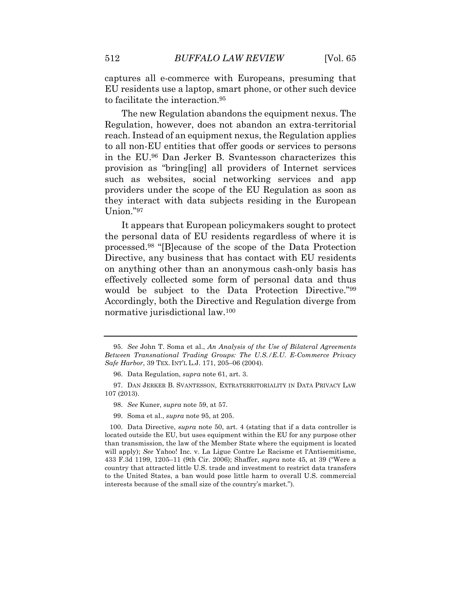captures all e-commerce with Europeans, presuming that EU residents use a laptop, smart phone, or other such device to facilitate the interaction.95

The new Regulation abandons the equipment nexus. The Regulation, however, does not abandon an extra-territorial reach. Instead of an equipment nexus, the Regulation applies to all non-EU entities that offer goods or services to persons in the EU.96 Dan Jerker B. Svantesson characterizes this provision as "bring[ing] all providers of Internet services such as websites, social networking services and app providers under the scope of the EU Regulation as soon as they interact with data subjects residing in the European Union."97

It appears that European policymakers sought to protect the personal data of EU residents regardless of where it is processed.98 "[B]ecause of the scope of the Data Protection Directive, any business that has contact with EU residents on anything other than an anonymous cash-only basis has effectively collected some form of personal data and thus would be subject to the Data Protection Directive."99 Accordingly, both the Directive and Regulation diverge from normative jurisdictional law.100

98. *See* Kuner, *supra* note 59, at 57.

<sup>95.</sup> *See* John T. Soma et al., *An Analysis of the Use of Bilateral Agreements Between Transnational Trading Groups: The U.S./E.U. E-Commerce Privacy Safe Harbor*, 39 TEX. INT'L L.J. 171, 205–06 (2004).

<sup>96.</sup> Data Regulation, *supra* note 61, art. 3.

<sup>97.</sup> DAN JERKER B. SVANTESSON, EXTRATERRITORIALITY IN DATA PRIVACY LAW 107 (2013).

<sup>99.</sup> Soma et al., *supra* note 95, at 205.

<sup>100.</sup> Data Directive, *supra* note 50, art. 4 (stating that if a data controller is located outside the EU, but uses equipment within the EU for any purpose other than transmission, the law of the Member State where the equipment is located will apply); *See* Yahoo! Inc. v. La Ligue Contre Le Racisme et l'Antisemitisme, 433 F.3d 1199, 1205–11 (9th Cir. 2006); Shaffer, *supra* note 45, at 39 ("Were a country that attracted little U.S. trade and investment to restrict data transfers to the United States, a ban would pose little harm to overall U.S. commercial interests because of the small size of the country's market.").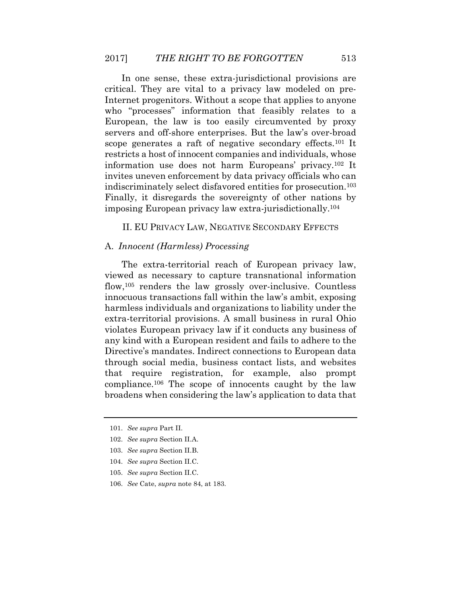In one sense, these extra-jurisdictional provisions are critical. They are vital to a privacy law modeled on pre-Internet progenitors. Without a scope that applies to anyone who "processes" information that feasibly relates to a European, the law is too easily circumvented by proxy servers and off-shore enterprises. But the law's over-broad scope generates a raft of negative secondary effects.101 It restricts a host of innocent companies and individuals, whose information use does not harm Europeans' privacy.102 It invites uneven enforcement by data privacy officials who can indiscriminately select disfavored entities for prosecution.103 Finally, it disregards the sovereignty of other nations by imposing European privacy law extra-jurisdictionally.104

### II. EU PRIVACY LAW, NEGATIVE SECONDARY EFFECTS

#### A. *Innocent (Harmless) Processing*

The extra-territorial reach of European privacy law, viewed as necessary to capture transnational information flow,105 renders the law grossly over-inclusive. Countless innocuous transactions fall within the law's ambit, exposing harmless individuals and organizations to liability under the extra-territorial provisions. A small business in rural Ohio violates European privacy law if it conducts any business of any kind with a European resident and fails to adhere to the Directive's mandates. Indirect connections to European data through social media, business contact lists, and websites that require registration, for example, also prompt compliance.106 The scope of innocents caught by the law broadens when considering the law's application to data that

<sup>101.</sup> *See supra* Part II.

<sup>102.</sup> *See supra* Section II.A.

<sup>103.</sup> *See supra* Section II.B.

<sup>104.</sup> *See supra* Section II.C.

<sup>105.</sup> *See supra* Section II.C.

<sup>106.</sup> *See* Cate, *supra* note 84, at 183.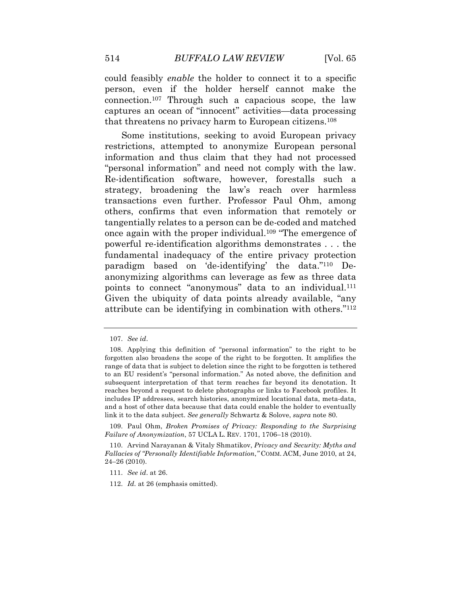could feasibly *enable* the holder to connect it to a specific person, even if the holder herself cannot make the connection.107 Through such a capacious scope, the law captures an ocean of "innocent" activities—data processing that threatens no privacy harm to European citizens.108

Some institutions, seeking to avoid European privacy restrictions, attempted to anonymize European personal information and thus claim that they had not processed "personal information" and need not comply with the law. Re-identification software, however, forestalls such a strategy, broadening the law's reach over harmless transactions even further. Professor Paul Ohm, among others, confirms that even information that remotely or tangentially relates to a person can be de-coded and matched once again with the proper individual.109 "The emergence of powerful re-identification algorithms demonstrates . . . the fundamental inadequacy of the entire privacy protection paradigm based on 'de-identifying' the data."110 Deanonymizing algorithms can leverage as few as three data points to connect "anonymous" data to an individual.<sup>111</sup> Given the ubiquity of data points already available, "any attribute can be identifying in combination with others."112

<sup>107.</sup> *See id*.

<sup>108.</sup> Applying this definition of "personal information" to the right to be forgotten also broadens the scope of the right to be forgotten. It amplifies the range of data that is subject to deletion since the right to be forgotten is tethered to an EU resident's "personal information." As noted above, the definition and subsequent interpretation of that term reaches far beyond its denotation. It reaches beyond a request to delete photographs or links to Facebook profiles. It includes IP addresses, search histories, anonymized locational data, meta-data, and a host of other data because that data could enable the holder to eventually link it to the data subject. *See generally* Schwartz & Solove, *supra* note 80.

<sup>109.</sup> Paul Ohm, *Broken Promises of Privacy: Responding to the Surprising Failure of Anonymization*, 57 UCLA L. REV. 1701, 1706–18 (2010).

<sup>110.</sup> Arvind Narayanan & Vitaly Shmatikov, *Privacy and Security: Myths and Fallacies of "Personally Identifiable Information*,*"* COMM. ACM, June 2010, at 24, 24–26 (2010).

<sup>111.</sup> *See id*. at 26.

<sup>112.</sup> *Id.* at 26 (emphasis omitted).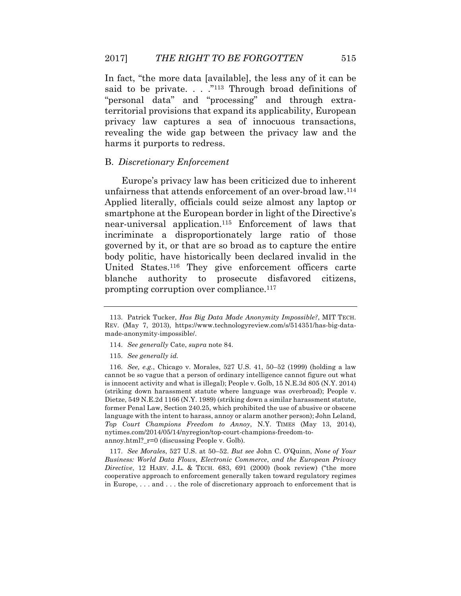In fact, "the more data [available], the less any of it can be said to be private. . . . . . . . Through broad definitions of "personal data" and "processing" and through extraterritorial provisions that expand its applicability, European privacy law captures a sea of innocuous transactions, revealing the wide gap between the privacy law and the harms it purports to redress.

#### B. *Discretionary Enforcement*

Europe's privacy law has been criticized due to inherent unfairness that attends enforcement of an over-broad law.114 Applied literally, officials could seize almost any laptop or smartphone at the European border in light of the Directive's near-universal application.115 Enforcement of laws that incriminate a disproportionately large ratio of those governed by it, or that are so broad as to capture the entire body politic, have historically been declared invalid in the United States.116 They give enforcement officers carte blanche authority to prosecute disfavored citizens, prompting corruption over compliance.<sup>117</sup>

117. *See Morales*, 527 U.S. at 50–52. *But see* John C. O'Quinn, *None of Your Business: World Data Flows*, *Electronic Commerce*, *and the European Privacy Directive*, 12 HARV. J.L. & TECH. 683, 691 (2000) (book review) ("the more cooperative approach to enforcement generally taken toward regulatory regimes in Europe, . . . and . . . the role of discretionary approach to enforcement that is

<sup>113.</sup> Patrick Tucker, *Has Big Data Made Anonymity Impossible?*, MIT TECH. REV. (May 7, 2013), https://www.technologyreview.com/s/514351/has-big-datamade-anonymity-impossible/.

<sup>114.</sup> *See generally* Cate, *supra* note 84.

<sup>115.</sup> *See generally id.*

<sup>116.</sup> *See, e.g.*, Chicago v. Morales, 527 U.S. 41, 50–52 (1999) (holding a law cannot be so vague that a person of ordinary intelligence cannot figure out what is innocent activity and what is illegal); People v. Golb, 15 N.E.3d 805 (N.Y. 2014) (striking down harassment statute where language was overbroad); People v. Dietze, 549 N.E.2d 1166 (N.Y. 1989) (striking down a similar harassment statute, former Penal Law, Section 240.25, which prohibited the use of abusive or obscene language with the intent to harass, annoy or alarm another person); John Leland, *Top Court Champions Freedom to Annoy*, N.Y. TIMES (May 13, 2014), nytimes.com/2014/05/14/nyregion/top-court-champions-freedom-toannoy.html?\_r=0 (discussing People v. Golb).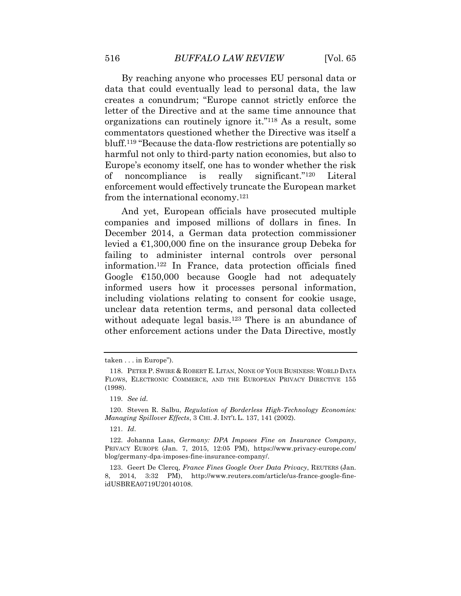By reaching anyone who processes EU personal data or data that could eventually lead to personal data, the law creates a conundrum; "Europe cannot strictly enforce the letter of the Directive and at the same time announce that organizations can routinely ignore it."118 As a result, some commentators questioned whether the Directive was itself a bluff.119 "Because the data-flow restrictions are potentially so harmful not only to third-party nation economies, but also to Europe's economy itself, one has to wonder whether the risk of noncompliance is really significant."120 Literal enforcement would effectively truncate the European market from the international economy.121

And yet, European officials have prosecuted multiple companies and imposed millions of dollars in fines. In December 2014, a German data protection commissioner levied a  $\epsilon$ 1,300,000 fine on the insurance group Debeka for failing to administer internal controls over personal information.122 In France, data protection officials fined Google €150,000 because Google had not adequately informed users how it processes personal information, including violations relating to consent for cookie usage, unclear data retention terms, and personal data collected without adequate legal basis.<sup>123</sup> There is an abundance of other enforcement actions under the Data Directive, mostly

taken . . . in Europe").

<sup>118.</sup> PETER P. SWIRE & ROBERT E. LITAN, NONE OF YOUR BUSINESS: WORLD DATA FLOWS, ELECTRONIC COMMERCE, AND THE EUROPEAN PRIVACY DIRECTIVE 155 (1998).

<sup>119.</sup> *See id.*

<sup>120.</sup> Steven R. Salbu, *Regulation of Borderless High-Technology Economies: Managing Spillover Effects*, 3 CHI. J. INT'L L. 137, 141 (2002).

<sup>121.</sup> *Id*.

<sup>122.</sup> Johanna Laas, *Germany: DPA Imposes Fine on Insurance Company*, PRIVACY EUROPE (Jan. 7, 2015, 12:05 PM), https://www.privacy-europe.com/ blog/germany-dpa-imposes-fine-insurance-company/.

<sup>123.</sup> Geert De Clercq, *France Fines Google Over Data Privacy*, REUTERS (Jan. 8, 2014, 3:32 PM), http://www.reuters.com/article/us-france-google-fineidUSBREA0719U20140108.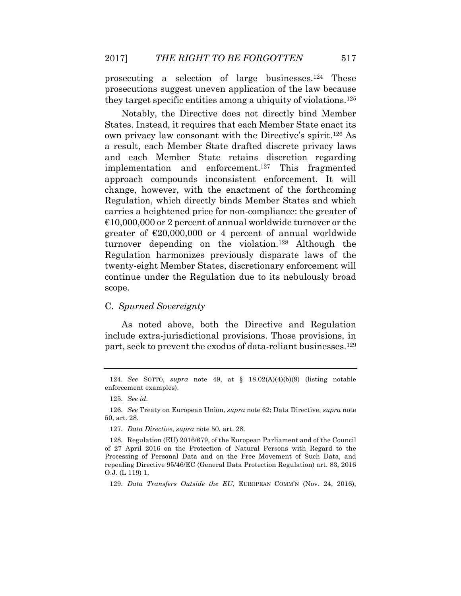prosecuting a selection of large businesses.124 These prosecutions suggest uneven application of the law because they target specific entities among a ubiquity of violations.125

Notably, the Directive does not directly bind Member States. Instead, it requires that each Member State enact its own privacy law consonant with the Directive's spirit.126 As a result, each Member State drafted discrete privacy laws and each Member State retains discretion regarding implementation and enforcement.127 This fragmented approach compounds inconsistent enforcement. It will change, however, with the enactment of the forthcoming Regulation, which directly binds Member States and which carries a heightened price for non-compliance: the greater of  $\epsilon$ 10,000,000 or 2 percent of annual worldwide turnover or the greater of  $\epsilon$ 20,000,000 or 4 percent of annual worldwide turnover depending on the violation.128 Although the Regulation harmonizes previously disparate laws of the twenty-eight Member States, discretionary enforcement will continue under the Regulation due to its nebulously broad scope.

# C. *Spurned Sovereignty*

As noted above, both the Directive and Regulation include extra-jurisdictional provisions. Those provisions, in part, seek to prevent the exodus of data-reliant businesses.129

129. *Data Transfers Outside the EU*, EUROPEAN COMM'N (Nov. 24, 2016),

<sup>124.</sup> *See* SOTTO, *supra* note 49, at § 18.02(A)(4)(b)(9) (listing notable enforcement examples).

<sup>125.</sup> *See id.*

<sup>126.</sup> *See* Treaty on European Union, *supra* note 62; Data Directive, *supra* note 50, art. 28.

<sup>127.</sup> *Data Directive*, *supra* note 50, art. 28.

<sup>128.</sup> Regulation (EU) 2016/679, of the European Parliament and of the Council of 27 April 2016 on the Protection of Natural Persons with Regard to the Processing of Personal Data and on the Free Movement of Such Data, and repealing Directive 95/46/EC (General Data Protection Regulation) art. 83, 2016 O.J. (L 119) 1.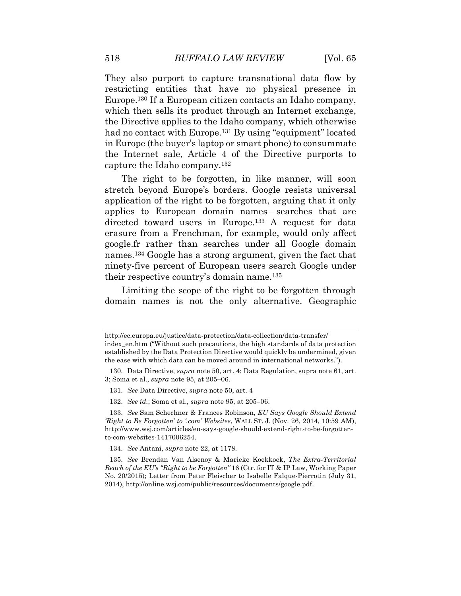They also purport to capture transnational data flow by restricting entities that have no physical presence in Europe.130 If a European citizen contacts an Idaho company, which then sells its product through an Internet exchange, the Directive applies to the Idaho company, which otherwise had no contact with Europe.<sup>131</sup> By using "equipment" located in Europe (the buyer's laptop or smart phone) to consummate the Internet sale, Article 4 of the Directive purports to capture the Idaho company.132

The right to be forgotten, in like manner, will soon stretch beyond Europe's borders. Google resists universal application of the right to be forgotten, arguing that it only applies to European domain names—searches that are directed toward users in Europe.133 A request for data erasure from a Frenchman, for example, would only affect google.fr rather than searches under all Google domain names.134 Google has a strong argument, given the fact that ninety-five percent of European users search Google under their respective country's domain name.135

Limiting the scope of the right to be forgotten through domain names is not the only alternative. Geographic

http://ec.europa.eu/justice/data-protection/data-collection/data-transfer/ index\_en.htm ("Without such precautions, the high standards of data protection established by the Data Protection Directive would quickly be undermined, given the ease with which data can be moved around in international networks.").

<sup>130.</sup> Data Directive, *supra* note 50, art. 4; Data Regulation, supra note 61, art. 3; Soma et al., *supra* note 95, at 205–06.

<sup>131.</sup> *See* Data Directive, *supra* note 50, art. 4

<sup>132.</sup> *See id.*; Soma et al., *supra* note 95, at 205–06.

<sup>133.</sup> *See* Sam Schechner & Frances Robinson, *EU Says Google Should Extend 'Right to Be Forgotten' to '.com' Websites*, WALL ST. J. (Nov. 26, 2014, 10:59 AM), http://www.wsj.com/articles/eu-says-google-should-extend-right-to-be-forgottento-com-websites-1417006254.

<sup>134.</sup> *See* Antani, *supra* note 22, at 1178.

<sup>135.</sup> *See* Brendan Van Alsenoy & Marieke Koekkoek, *The Extra-Territorial Reach of the EU's "Right to be Forgotten"* 16 (Ctr. for IT & IP Law, Working Paper No. 20/2015); Letter from Peter Fleischer to Isabelle Falque-Pierrotin (July 31, 2014), http://online.wsj.com/public/resources/documents/google.pdf.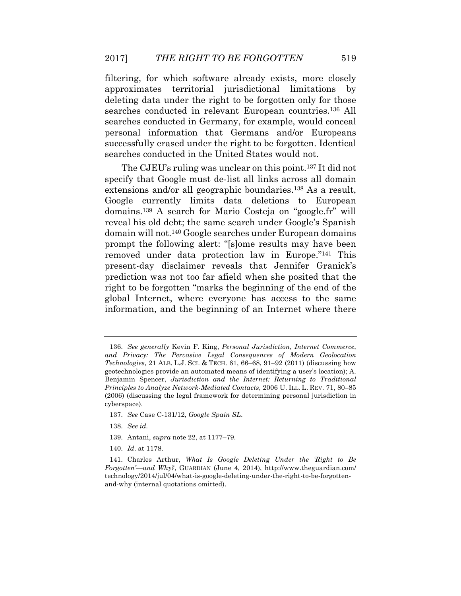filtering, for which software already exists, more closely approximates territorial jurisdictional limitations by deleting data under the right to be forgotten only for those searches conducted in relevant European countries.136 All searches conducted in Germany, for example, would conceal personal information that Germans and/or Europeans successfully erased under the right to be forgotten. Identical searches conducted in the United States would not.

The CJEU's ruling was unclear on this point.137 It did not specify that Google must de-list all links across all domain extensions and/or all geographic boundaries.<sup>138</sup> As a result, Google currently limits data deletions to European domains.139 A search for Mario Costeja on "google.fr" will reveal his old debt; the same search under Google's Spanish domain will not.140 Google searches under European domains prompt the following alert: "[s]ome results may have been removed under data protection law in Europe."141 This present-day disclaimer reveals that Jennifer Granick's prediction was not too far afield when she posited that the right to be forgotten "marks the beginning of the end of the global Internet, where everyone has access to the same information, and the beginning of an Internet where there

- 139. Antani, *supra* note 22, at 1177–79.
- 140. *Id*. at 1178.

<sup>136.</sup> *See generally* Kevin F. King, *Personal Jurisdiction*, *Internet Commerce*, *and Privacy: The Pervasive Legal Consequences of Modern Geolocation Technologies*, 21 ALB. L.J. SCI. & TECH. 61, 66–68, 91–92 (2011) (discussing how geotechnologies provide an automated means of identifying a user's location); A. Benjamin Spencer, *Jurisdiction and the Internet: Returning to Traditional Principles to Analyze Network-Mediated Contacts*, 2006 U. ILL. L. REV. 71, 80–85 (2006) (discussing the legal framework for determining personal jurisdiction in cyberspace).

<sup>137.</sup> *See* Case C-131/12, *Google Spain SL*.

<sup>138.</sup> *See id.*

<sup>141.</sup> Charles Arthur, *What Is Google Deleting Under the 'Right to Be Forgotten'—and Why?*, GUARDIAN (June 4, 2014), http://www.theguardian.com/ technology/2014/jul/04/what-is-google-deleting-under-the-right-to-be-forgottenand-why (internal quotations omitted).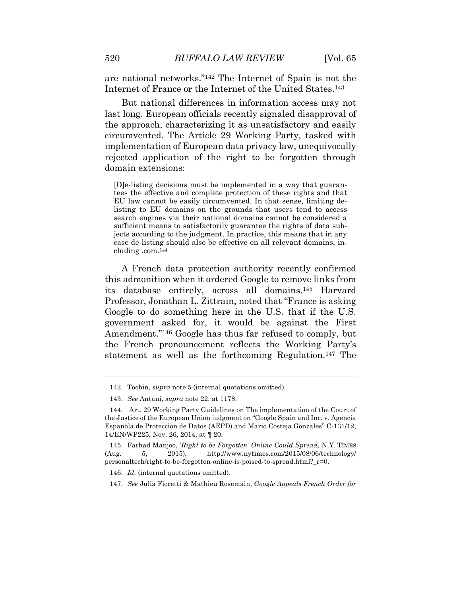are national networks."142 The Internet of Spain is not the Internet of France or the Internet of the United States.143

But national differences in information access may not last long. European officials recently signaled disapproval of the approach, characterizing it as unsatisfactory and easily circumvented. The Article 29 Working Party, tasked with implementation of European data privacy law, unequivocally rejected application of the right to be forgotten through domain extensions:

[D]e-listing decisions must be implemented in a way that guarantees the effective and complete protection of these rights and that EU law cannot be easily circumvented. In that sense, limiting delisting to EU domains on the grounds that users tend to access search engines via their national domains cannot be considered a sufficient means to satisfactorily guarantee the rights of data subjects according to the judgment. In practice, this means that in any case de-listing should also be effective on all relevant domains, including .com.144

A French data protection authority recently confirmed this admonition when it ordered Google to remove links from its database entirely, across all domains.145 Harvard Professor, Jonathan L. Zittrain, noted that "France is asking Google to do something here in the U.S. that if the U.S. government asked for, it would be against the First Amendment."146 Google has thus far refused to comply, but the French pronouncement reflects the Working Party's statement as well as the forthcoming Regulation.147 The

<sup>142.</sup> Toobin, *supra* note 5 (internal quotations omitted).

<sup>143.</sup> *See* Antani, *supra* note 22, at 1178.

<sup>144.</sup> Art. 29 Working Party Guidelines on The implementation of the Court of the Justice of the European Union judgment on "Google Spain and Inc. v. Agencia Espanola de Proteccion de Datos (AEPD) and Mario Costeja Gonzales" C-131/12, 14/EN/WP225, Nov. 26, 2014, at ¶ 20.

<sup>145.</sup> Farhad Manjoo, '*Right to be Forgotten' Online Could Spread*, N.Y. TIMES (Aug. 5, 2015), http://www.nytimes.com/2015/08/06/technology/ personaltech/right-to-be-forgotten-online-is-poised-to-spread.html?\_r=0.

<sup>146.</sup> *Id.* (internal quotations omitted).

<sup>147.</sup> *See* Julia Fioretti & Mathieu Rosemain, *Google Appeals French Order for*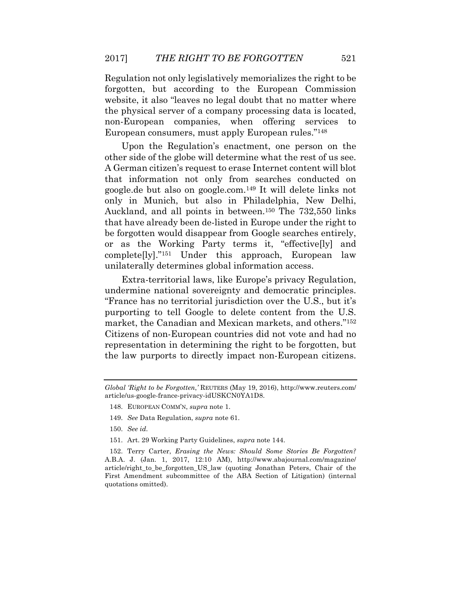Regulation not only legislatively memorializes the right to be forgotten, but according to the European Commission website, it also "leaves no legal doubt that no matter where the physical server of a company processing data is located, non-European companies, when offering services to European consumers, must apply European rules."148

Upon the Regulation's enactment, one person on the other side of the globe will determine what the rest of us see. A German citizen's request to erase Internet content will blot that information not only from searches conducted on google.de but also on google.com.149 It will delete links not only in Munich, but also in Philadelphia, New Delhi, Auckland, and all points in between.150 The 732,550 links that have already been de-listed in Europe under the right to be forgotten would disappear from Google searches entirely, or as the Working Party terms it, "effective[ly] and complete[ly]."151 Under this approach, European law unilaterally determines global information access.

Extra-territorial laws, like Europe's privacy Regulation, undermine national sovereignty and democratic principles. "France has no territorial jurisdiction over the U.S., but it's purporting to tell Google to delete content from the U.S. market, the Canadian and Mexican markets, and others."152 Citizens of non-European countries did not vote and had no representation in determining the right to be forgotten, but the law purports to directly impact non-European citizens.

- 150. *See id.*
- 151. Art. 29 Working Party Guidelines, *supra* note 144.

152. Terry Carter, *Erasing the News: Should Some Stories Be Forgotten?* A.B.A. J. (Jan. 1, 2017, 12:10 AM), http://www.abajournal.com/magazine/ article/right\_to\_be\_forgotten\_US\_law (quoting Jonathan Peters, Chair of the First Amendment subcommittee of the ABA Section of Litigation) (internal quotations omitted).

*Global 'Right to be Forgotten*,*'* REUTERS (May 19, 2016), http://www.reuters.com/ article/us-google-france-privacy-idUSKCN0YA1D8.

<sup>148.</sup> EUROPEAN COMM'N, *supra* note 1.

<sup>149.</sup> *See* Data Regulation, *supra* note 61.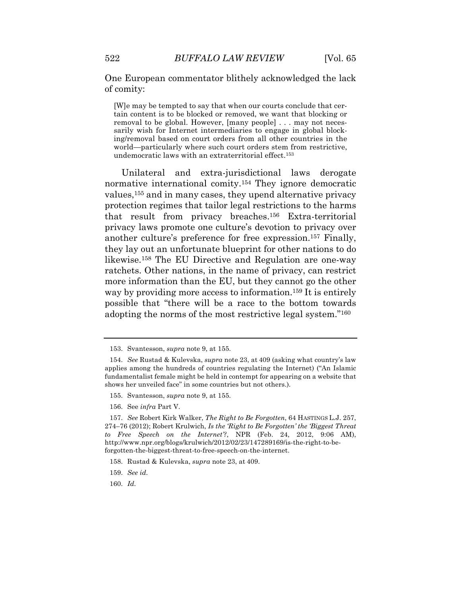One European commentator blithely acknowledged the lack of comity:

[W]e may be tempted to say that when our courts conclude that certain content is to be blocked or removed, we want that blocking or removal to be global. However, [many people] . . . may not necessarily wish for Internet intermediaries to engage in global blocking/removal based on court orders from all other countries in the world—particularly where such court orders stem from restrictive, undemocratic laws with an extraterritorial effect.153

Unilateral and extra-jurisdictional laws derogate normative international comity.154 They ignore democratic values,<sup>155</sup> and in many cases, they upend alternative privacy protection regimes that tailor legal restrictions to the harms that result from privacy breaches.156 Extra-territorial privacy laws promote one culture's devotion to privacy over another culture's preference for free expression.157 Finally, they lay out an unfortunate blueprint for other nations to do likewise.158 The EU Directive and Regulation are one-way ratchets. Other nations, in the name of privacy, can restrict more information than the EU, but they cannot go the other way by providing more access to information.<sup>159</sup> It is entirely possible that "there will be a race to the bottom towards adopting the norms of the most restrictive legal system."160

- 155. Svantesson, *supra* note 9, at 155.
- 156. See *infra* Part V.

<sup>153.</sup> Svantesson, *supra* note 9, at 155.

<sup>154.</sup> *See* Rustad & Kulevska, *supra* note 23, at 409 (asking what country's law applies among the hundreds of countries regulating the Internet) ("An Islamic fundamentalist female might be held in contempt for appearing on a website that shows her unveiled face" in some countries but not others.).

<sup>157.</sup> *See* Robert Kirk Walker, *The Right to Be Forgotten*, 64 HASTINGS L.J. 257, 274–76 (2012); Robert Krulwich, *Is the 'Right to Be Forgotten' the 'Biggest Threat to Free Speech on the Internet'?*, NPR (Feb. 24, 2012, 9:06 AM), http://www.npr.org/blogs/krulwich/2012/02/23/147289169/is-the-right-to-beforgotten-the-biggest-threat-to-free-speech-on-the-internet.

<sup>158.</sup> Rustad & Kulevska, *supra* note 23, at 409.

<sup>159.</sup> *See id.*

<sup>160.</sup> *Id.*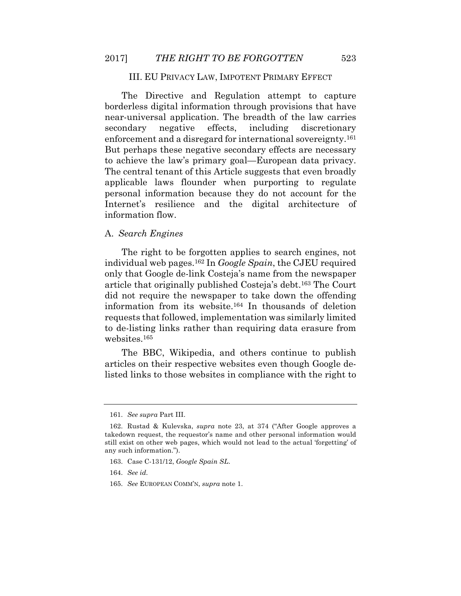#### III. EU PRIVACY LAW, IMPOTENT PRIMARY EFFECT

The Directive and Regulation attempt to capture borderless digital information through provisions that have near-universal application. The breadth of the law carries secondary negative effects, including discretionary enforcement and a disregard for international sovereignty.161 But perhaps these negative secondary effects are necessary to achieve the law's primary goal—European data privacy. The central tenant of this Article suggests that even broadly applicable laws flounder when purporting to regulate personal information because they do not account for the Internet's resilience and the digital architecture of information flow.

### A. *Search Engines*

The right to be forgotten applies to search engines, not individual web pages.162 In *Google Spain*, the CJEU required only that Google de-link Costeja's name from the newspaper article that originally published Costeja's debt.163 The Court did not require the newspaper to take down the offending information from its website.164 In thousands of deletion requests that followed, implementation was similarly limited to de-listing links rather than requiring data erasure from websites.165

The BBC, Wikipedia, and others continue to publish articles on their respective websites even though Google delisted links to those websites in compliance with the right to

165. *See* EUROPEAN COMM'N, *supra* note 1.

<sup>161.</sup> *See supra* Part III.

<sup>162.</sup> Rustad & Kulevska, *supra* note 23, at 374 ("After Google approves a takedown request, the requestor's name and other personal information would still exist on other web pages, which would not lead to the actual 'forgetting' of any such information.").

<sup>163.</sup> Case C-131/12, *Google Spain SL*.

<sup>164.</sup> *See id.*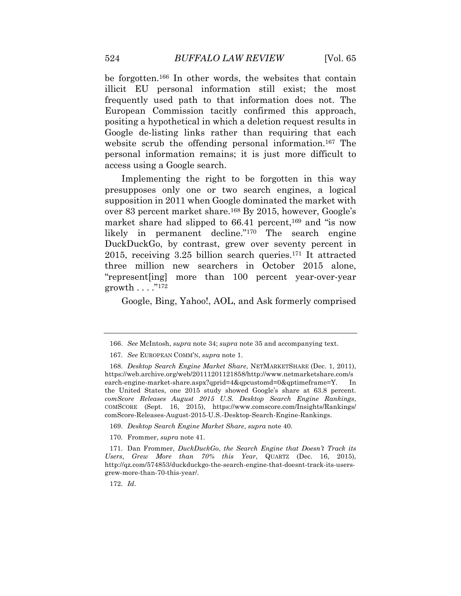be forgotten.166 In other words, the websites that contain illicit EU personal information still exist; the most frequently used path to that information does not. The European Commission tacitly confirmed this approach, positing a hypothetical in which a deletion request results in Google de-listing links rather than requiring that each website scrub the offending personal information.<sup>167</sup> The personal information remains; it is just more difficult to access using a Google search.

Implementing the right to be forgotten in this way presupposes only one or two search engines, a logical supposition in 2011 when Google dominated the market with over 83 percent market share.168 By 2015, however, Google's market share had slipped to  $66.41$  percent,<sup>169</sup> and "is now likely in permanent decline."170 The search engine DuckDuckGo, by contrast, grew over seventy percent in 2015, receiving 3.25 billion search queries.171 It attracted three million new searchers in October 2015 alone, "represent[ing] more than 100 percent year-over-year growth  $\dots$  ."172

Google, Bing, Yahoo!, AOL, and Ask formerly comprised

<sup>166.</sup> *See* McIntosh, *supra* note 34; *supra* note 35 and accompanying text.

<sup>167.</sup> *See* EUROPEAN COMM'N, *supra* note 1.

<sup>168.</sup> *Desktop Search Engine Market Share*, NETMARKETSHARE (Dec. 1, 2011), https://web.archive.org/web/20111201121858/http://www.netmarketshare.com/s earch-engine-market-share.aspx?qprid=4&qpcustomd=0&qptimeframe=Y. In the United States, one 2015 study showed Google's share at 63.8 percent. *comScore Releases August 2015 U.S. Desktop Search Engine Rankings*, COMSCORE (Sept. 16, 2015), https://www.comscore.com/Insights/Rankings/ comScore-Releases-August-2015-U.S.-Desktop-Search-Engine-Rankings.

<sup>169.</sup> *Desktop Search Engine Market Share*, *supra* note 40.

<sup>170.</sup> Frommer, *supra* note 41.

<sup>171.</sup> Dan Frommer, *DuckDuckGo*, *the Search Engine that Doesn't Track its Users*, *Grew More than 70% this Year*, QUARTZ (Dec. 16, 2015), http://qz.com/574853/duckduckgo-the-search-engine-that-doesnt-track-its-usersgrew-more-than-70-this-year/.

<sup>172.</sup> *Id*.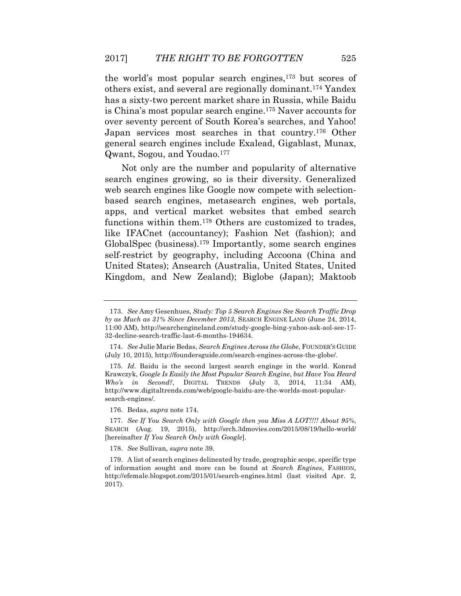the world's most popular search engines,173 but scores of others exist, and several are regionally dominant.174 Yandex has a sixty-two percent market share in Russia, while Baidu is China's most popular search engine.175 Naver accounts for over seventy percent of South Korea's searches, and Yahoo! Japan services most searches in that country.176 Other general search engines include Exalead, Gigablast, Munax, Qwant, Sogou, and Youdao.177

Not only are the number and popularity of alternative search engines growing, so is their diversity. Generalized web search engines like Google now compete with selectionbased search engines, metasearch engines, web portals, apps, and vertical market websites that embed search functions within them.178 Others are customized to trades, like IFACnet (accountancy); Fashion Net (fashion); and GlobalSpec (business).179 Importantly, some search engines self-restrict by geography, including Accoona (China and United States); Ansearch (Australia, United States, United Kingdom, and New Zealand); Biglobe (Japan); Maktoob

176. Bedas, *supra* note 174.

178. *See* Sullivan, *supra* note 39.

<sup>173.</sup> *See* Amy Gesenhues, *Study: Top 5 Search Engines See Search Traffic Drop by as Much as 31% Since December 2013*, SEARCH ENGINE LAND (June 24, 2014, 11:00 AM), http://searchengineland.com/study-google-bing-yahoo-ask-aol-see-17- 32-decline-search-traffic-last-6-months-194634.

<sup>174.</sup> *See* Julie Marie Bedas, *Search Engines Across the Globe*, FOUNDER'S GUIDE (July 10, 2015), http://foundersguide.com/search-engines-across-the-globe/.

<sup>175.</sup> *Id*. Baidu is the second largest search enginge in the world. Konrad Krawczyk, *Google Is Easily the Most Popular Search Engine*, *but Have You Heard Who's in Second?*, DIGITAL TRENDS (July 3, 2014, 11:34 AM), http://www.digitaltrends.com/web/google-baidu-are-the-worlds-most-popularsearch-engines/.

<sup>177.</sup> *See If You Search Only with Google then you Miss A LOT!!!! About 95%*, SEARCH (Aug. 19, 2015), http://srch.3dmovies.com/2015/08/19/hello-world/ [hereinafter *If You Search Only with Google*].

<sup>179.</sup> A list of search engines delineated by trade, geographic scope, specific type of information sought and more can be found at *Search Engines*, FASHION, http://efemale.blogspot.com/2015/01/search-engines.html (last visited Apr. 2, 2017).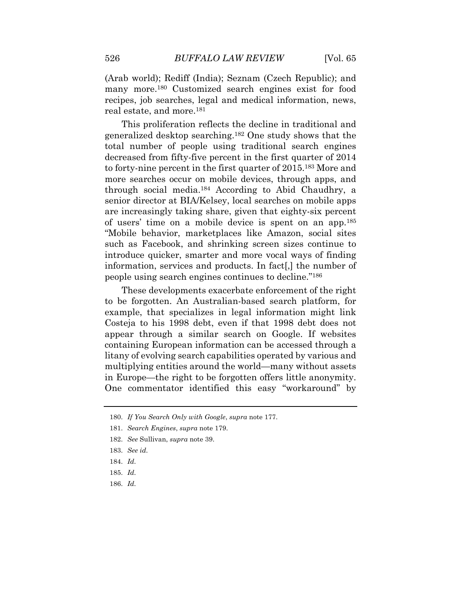(Arab world); Rediff (India); Seznam (Czech Republic); and many more.180 Customized search engines exist for food recipes, job searches, legal and medical information, news, real estate, and more.181

This proliferation reflects the decline in traditional and generalized desktop searching.182 One study shows that the total number of people using traditional search engines decreased from fifty-five percent in the first quarter of 2014 to forty-nine percent in the first quarter of 2015.183 More and more searches occur on mobile devices, through apps, and through social media.184 According to Abid Chaudhry, a senior director at BIA/Kelsey, local searches on mobile apps are increasingly taking share, given that eighty-six percent of users' time on a mobile device is spent on an app.185 "Mobile behavior, marketplaces like Amazon, social sites such as Facebook, and shrinking screen sizes continue to introduce quicker, smarter and more vocal ways of finding information, services and products. In fact[,] the number of people using search engines continues to decline."186

These developments exacerbate enforcement of the right to be forgotten. An Australian-based search platform, for example, that specializes in legal information might link Costeja to his 1998 debt, even if that 1998 debt does not appear through a similar search on Google. If websites containing European information can be accessed through a litany of evolving search capabilities operated by various and multiplying entities around the world—many without assets in Europe—the right to be forgotten offers little anonymity. One commentator identified this easy "workaround" by

180. *If You Search Only with Google*, *supra* note 177.

- 182. *See* Sullivan, *supra* note 39.
- 183. *See id.*
- 184. *Id.*
- 185. *Id.*
- 186. *Id.*

<sup>181.</sup> *Search Engines*, *supra* note 179.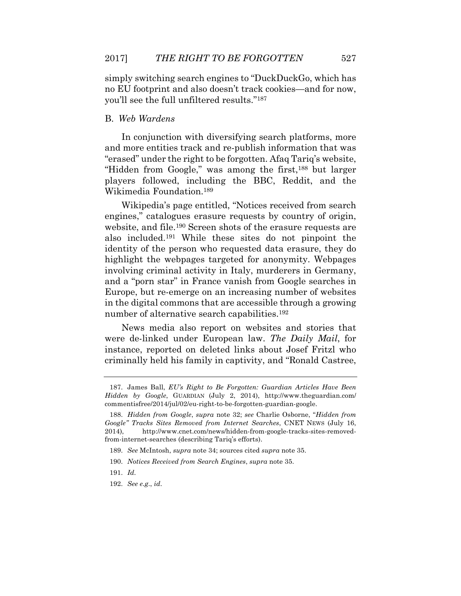simply switching search engines to "DuckDuckGo, which has no EU footprint and also doesn't track cookies—and for now, you'll see the full unfiltered results."187

### B. *Web Wardens*

In conjunction with diversifying search platforms, more and more entities track and re-publish information that was "erased" under the right to be forgotten. Afaq Tariq's website, "Hidden from Google," was among the first,188 but larger players followed, including the BBC, Reddit, and the Wikimedia Foundation.189

Wikipedia's page entitled, "Notices received from search engines," catalogues erasure requests by country of origin, website, and file.190 Screen shots of the erasure requests are also included.191 While these sites do not pinpoint the identity of the person who requested data erasure, they do highlight the webpages targeted for anonymity. Webpages involving criminal activity in Italy, murderers in Germany, and a "porn star" in France vanish from Google searches in Europe, but re-emerge on an increasing number of websites in the digital commons that are accessible through a growing number of alternative search capabilities.<sup>192</sup>

News media also report on websites and stories that were de-linked under European law. *The Daily Mail*, for instance, reported on deleted links about Josef Fritzl who criminally held his family in captivity, and "Ronald Castree,

<sup>187.</sup> James Ball, *EU's Right to Be Forgotten: Guardian Articles Have Been Hidden by Google*, GUARDIAN (July 2, 2014), http://www.theguardian.com/ commentisfree/2014/jul/02/eu-right-to-be-forgotten-guardian-google.

<sup>188.</sup> *Hidden from Google*, *supra* note 32; *see* Charlie Osborne, "*Hidden from Google" Tracks Sites Removed from Internet Searches*, CNET NEWS (July 16, 2014), http://www.cnet.com/news/hidden-from-google-tracks-sites-removedfrom-internet-searches (describing Tariq's efforts).

<sup>189.</sup> *See* McIntosh, *supra* note 34; sources cited *supra* note 35.

<sup>190.</sup> *Notices Received from Search Engines*, *supra* note 35.

<sup>191.</sup> *Id.*

<sup>192.</sup> *See e.g*., *id*.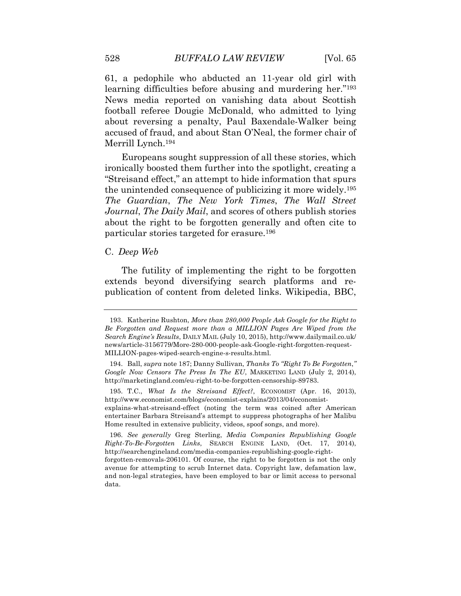61, a pedophile who abducted an 11-year old girl with learning difficulties before abusing and murdering her."193 News media reported on vanishing data about Scottish football referee Dougie McDonald, who admitted to lying about reversing a penalty, Paul Baxendale-Walker being accused of fraud, and about Stan O'Neal, the former chair of Merrill Lynch.194

Europeans sought suppression of all these stories, which ironically boosted them further into the spotlight, creating a "Streisand effect," an attempt to hide information that spurs the unintended consequence of publicizing it more widely.195 *The Guardian*, *The New York Times*, *The Wall Street Journal*, *The Daily Mail*, and scores of others publish stories about the right to be forgotten generally and often cite to particular stories targeted for erasure.196

C. *Deep Web*

The futility of implementing the right to be forgotten extends beyond diversifying search platforms and republication of content from deleted links. Wikipedia, BBC,

195. T.C., *What Is the Streisand Effect?*, ECONOMIST (Apr. 16, 2013), http://www.economist.com/blogs/economist-explains/2013/04/economist-

explains-what-streisand-effect (noting the term was coined after American entertainer Barbara Streisand's attempt to suppress photographs of her Malibu Home resulted in extensive publicity, videos, spoof songs, and more).

196. *See generally* Greg Sterling, *Media Companies Republishing Google Right-To-Be-Forgotten Links*, SEARCH ENGINE LAND, (Oct. 17, 2014), http://searchengineland.com/media-companies-republishing-google-right-

forgotten-removals-206101. Of course, the right to be forgotten is not the only avenue for attempting to scrub Internet data. Copyright law, defamation law, and non-legal strategies, have been employed to bar or limit access to personal data.

<sup>193.</sup> Katherine Rushton, *More than 280*,*000 People Ask Google for the Right to Be Forgotten and Request more than a MILLION Pages Are Wiped from the Search Engine's Results*, DAILY MAIL (July 10, 2015), http://www.dailymail.co.uk/ news/article-3156779/More-280-000-people-ask-Google-right-forgotten-request-MILLION-pages-wiped-search-engine-s-results.html.

<sup>194.</sup> Ball, *supra* note 187; Danny Sullivan, *Thanks To "Right To Be Forgotten*,*" Google Now Censors The Press In The EU*, MARKETING LAND (July 2, 2014), http://marketingland.com/eu-right-to-be-forgotten-censorship-89783.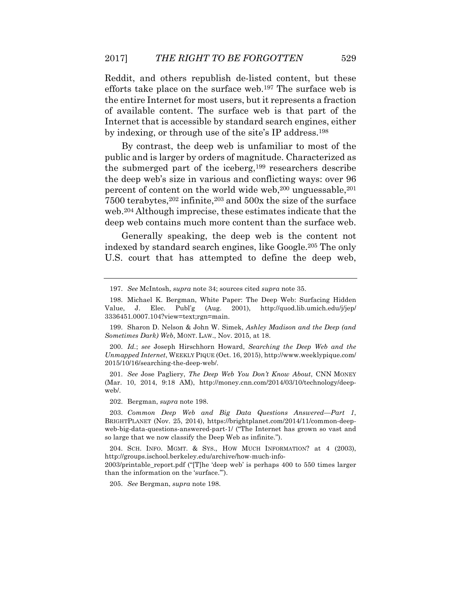Reddit, and others republish de-listed content, but these efforts take place on the surface web.197 The surface web is the entire Internet for most users, but it represents a fraction of available content. The surface web is that part of the Internet that is accessible by standard search engines, either by indexing, or through use of the site's IP address.198

By contrast, the deep web is unfamiliar to most of the public and is larger by orders of magnitude. Characterized as the submerged part of the iceberg,199 researchers describe the deep web's size in various and conflicting ways: over 96 percent of content on the world wide web,  $200$  unguessable,  $201$ 7500 terabytes,202 infinite,203 and 500x the size of the surface web.204 Although imprecise, these estimates indicate that the deep web contains much more content than the surface web.

Generally speaking, the deep web is the content not indexed by standard search engines, like Google.205 The only U.S. court that has attempted to define the deep web,

201. *See* Jose Pagliery, *The Deep Web You Don't Know About*, CNN MONEY (Mar. 10, 2014, 9:18 AM), http://money.cnn.com/2014/03/10/technology/deepweb/.

202. Bergman, *supra* note 198.

204. SCH. INFO. MGMT. & SYS., HOW MUCH INFORMATION? at 4 (2003), http://groups.ischool.berkeley.edu/archive/how-much-info-

2003/printable\_report.pdf ("[T]he 'deep web' is perhaps 400 to 550 times larger than the information on the 'surface.'").

205. *See* Bergman, *supra* note 198.

<sup>197.</sup> *See* McIntosh, *supra* note 34; sources cited *supra* note 35.

<sup>198.</sup> Michael K. Bergman, White Paper: The Deep Web: Surfacing Hidden Value, J. Elec. Publ'g (Aug. 2001), http://quod.lib.umich.edu/j/jep/ 3336451.0007.104?view=text;rgn=main.

<sup>199.</sup> Sharon D. Nelson & John W. Simek, *Ashley Madison and the Deep (and Sometimes Dark) Web*, MONT. LAW., Nov. 2015, at 18.

<sup>200.</sup> *Id.*; *see* Joseph Hirschhorn Howard, *Searching the Deep Web and the Unmapped Internet*, WEEKLY PIQUE (Oct. 16, 2015), http://www.weeklypique.com/ 2015/10/16/searching-the-deep-web/.

<sup>203.</sup> *Common Deep Web and Big Data Questions Answered—Part 1*, BRIGHTPLANET (Nov. 25, 2014), https://brightplanet.com/2014/11/common-deepweb-big-data-questions-answered-part-1/ ("The Internet has grown so vast and so large that we now classify the Deep Web as infinite.").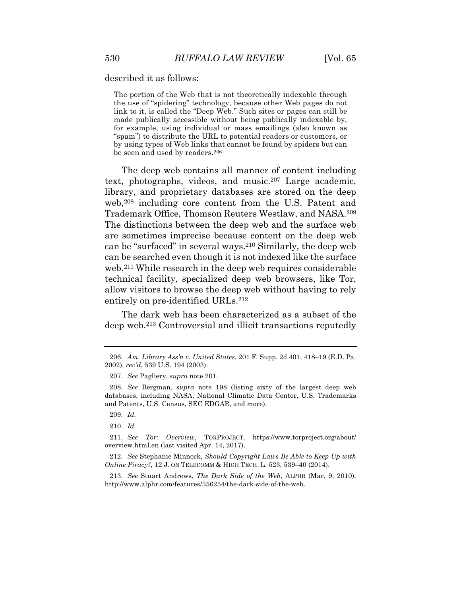described it as follows:

The portion of the Web that is not theoretically indexable through the use of "spidering" technology, because other Web pages do not link to it, is called the "Deep Web." Such sites or pages can still be made publically accessible without being publically indexable by, for example, using individual or mass emailings (also known as "spam") to distribute the URL to potential readers or customers, or by using types of Web links that cannot be found by spiders but can be seen and used by readers.206

The deep web contains all manner of content including text, photographs, videos, and music.207 Large academic, library, and proprietary databases are stored on the deep web,<sup>208</sup> including core content from the U.S. Patent and Trademark Office, Thomson Reuters Westlaw, and NASA.209 The distinctions between the deep web and the surface web are sometimes imprecise because content on the deep web can be "surfaced" in several ways.210 Similarly, the deep web can be searched even though it is not indexed like the surface web.211 While research in the deep web requires considerable technical facility, specialized deep web browsers, like Tor, allow visitors to browse the deep web without having to rely entirely on pre-identified URLs.<sup>212</sup>

The dark web has been characterized as a subset of the deep web.213 Controversial and illicit transactions reputedly

209. *Id.*

210. *Id.*

211. *See Tor: Overview*, TORPROJECT, https://www.torproject.org/about/ overview.html.en (last visited Apr. 14, 2017).

212. *See* Stephanie Minnock, *Should Copyright Laws Be Able to Keep Up with Online Piracy?*, 12 J. ON TELECOMM & HIGH TECH. L. 523, 539–40 (2014).

213. *See* Stuart Andrews, *The Dark Side of the Web*, ALPHR (Mar. 9, 2010), http://www.alphr.com/features/356254/the-dark-side-of-the-web.

<sup>206.</sup> *Am. Library Ass'n v. United States*, 201 F. Supp. 2d 401, 418–19 (E.D. Pa. 2002), *rev'd*, 539 U.S. 194 (2003).

<sup>207.</sup> *See* Pagliery, *supra* note 201.

<sup>208.</sup> *See* Bergman, *supra* note 198 (listing sixty of the largest deep web databases, including NASA, National Climatic Data Center, U.S. Trademarks and Patents, U.S. Census, SEC EDGAR, and more).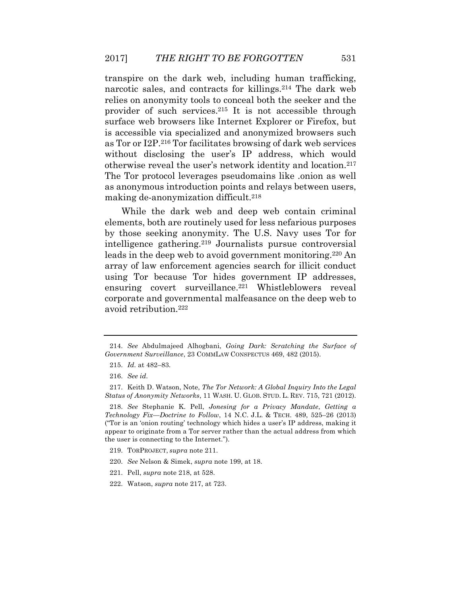transpire on the dark web, including human trafficking, narcotic sales, and contracts for killings.214 The dark web relies on anonymity tools to conceal both the seeker and the provider of such services.215 It is not accessible through surface web browsers like Internet Explorer or Firefox, but is accessible via specialized and anonymized browsers such as Tor or I2P.216 Tor facilitates browsing of dark web services without disclosing the user's IP address, which would otherwise reveal the user's network identity and location.217 The Tor protocol leverages pseudomains like .onion as well as anonymous introduction points and relays between users, making de-anonymization difficult.218

While the dark web and deep web contain criminal elements, both are routinely used for less nefarious purposes by those seeking anonymity. The U.S. Navy uses Tor for intelligence gathering.219 Journalists pursue controversial leads in the deep web to avoid government monitoring.220 An array of law enforcement agencies search for illicit conduct using Tor because Tor hides government IP addresses, ensuring covert surveillance.<sup>221</sup> Whistleblowers reveal corporate and governmental malfeasance on the deep web to avoid retribution.222

<sup>214.</sup> *See* Abdulmajeed Alhogbani, *Going Dark: Scratching the Surface of Government Surveillance*, 23 COMMLAW CONSPECTUS 469, 482 (2015).

<sup>215.</sup> *Id.* at 482–83.

<sup>216.</sup> *See id.*

<sup>217.</sup> Keith D. Watson, Note, *The Tor Network: A Global Inquiry Into the Legal Status of Anonymity Networks*, 11 WASH. U. GLOB. STUD. L. REV. 715, 721 (2012).

<sup>218.</sup> *See* Stephanie K. Pell, *Jonesing for a Privacy Mandate*, *Getting a Technology Fix—Doctrine to Follow*, 14 N.C. J.L. & TECH. 489, 525–26 (2013) ("Tor is an 'onion routing' technology which hides a user's IP address, making it appear to originate from a Tor server rather than the actual address from which the user is connecting to the Internet.").

<sup>219.</sup> TORPROJECT, *supra* note 211.

<sup>220.</sup> *See* Nelson & Simek, *supra* note 199, at 18.

<sup>221.</sup> Pell, *supra* note 218, at 528.

<sup>222.</sup> Watson, *supra* note 217, at 723.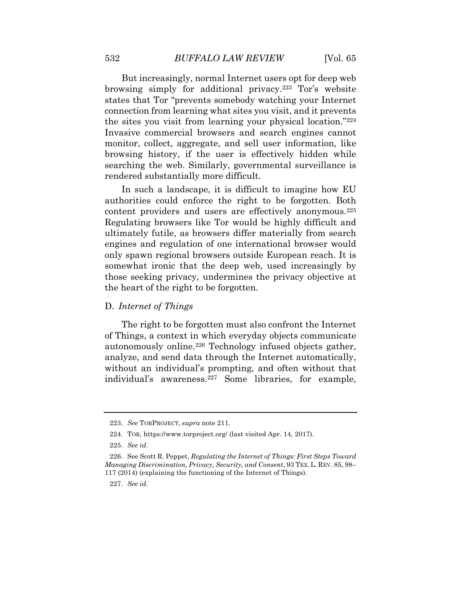But increasingly, normal Internet users opt for deep web browsing simply for additional privacy.223 Tor's website states that Tor "prevents somebody watching your Internet connection from learning what sites you visit, and it prevents the sites you visit from learning your physical location."224 Invasive commercial browsers and search engines cannot monitor, collect, aggregate, and sell user information, like browsing history, if the user is effectively hidden while searching the web. Similarly, governmental surveillance is rendered substantially more difficult.

In such a landscape, it is difficult to imagine how EU authorities could enforce the right to be forgotten. Both content providers and users are effectively anonymous.225 Regulating browsers like Tor would be highly difficult and ultimately futile, as browsers differ materially from search engines and regulation of one international browser would only spawn regional browsers outside European reach. It is somewhat ironic that the deep web, used increasingly by those seeking privacy, undermines the privacy objective at the heart of the right to be forgotten.

# D. *Internet of Things*

The right to be forgotten must also confront the Internet of Things, a context in which everyday objects communicate autonomously online.226 Technology infused objects gather, analyze, and send data through the Internet automatically, without an individual's prompting, and often without that individual's awareness.227 Some libraries, for example,

<sup>223.</sup> *See* TORPROJECT, *supra* note 211.

<sup>224.</sup> TOR, https://www.torproject.org/ (last visited Apr. 14, 2017).

<sup>225.</sup> *See id.*

<sup>226.</sup> See Scott R. Peppet, *Regulating the Internet of Things: First Steps Toward Managing Discrimination, Privacy, Security, and Consent*, 93 TEX. L. REV. 85, 98– 117 (2014) (explaining the functioning of the Internet of Things).

<sup>227.</sup> *See id.*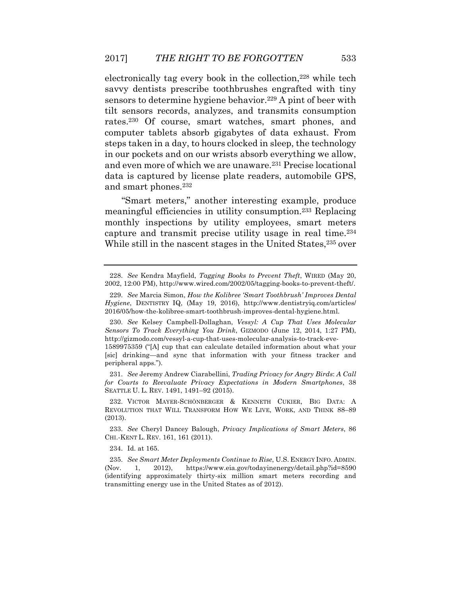electronically tag every book in the collection,<sup>228</sup> while tech savvy dentists prescribe toothbrushes engrafted with tiny sensors to determine hygiene behavior.<sup>229</sup> A pint of beer with tilt sensors records, analyzes, and transmits consumption rates.230 Of course, smart watches, smart phones, and computer tablets absorb gigabytes of data exhaust. From steps taken in a day, to hours clocked in sleep, the technology in our pockets and on our wrists absorb everything we allow, and even more of which we are unaware.231 Precise locational data is captured by license plate readers, automobile GPS, and smart phones.232

"Smart meters," another interesting example, produce meaningful efficiencies in utility consumption.233 Replacing monthly inspections by utility employees, smart meters capture and transmit precise utility usage in real time.234 While still in the nascent stages in the United States,<sup>235</sup> over

231. *See* Jeremy Andrew Ciarabellini, *Trading Privacy for Angry Birds*: *A Call for Courts to Reevaluate Privacy Expectations in Modern Smartphones*, 38 SEATTLE U. L. REV. 1491, 1491–92 (2015).

234. Id. at 165.

<sup>228.</sup> *See* Kendra Mayfield, *Tagging Books to Prevent Theft*, WIRED (May 20, 2002, 12:00 PM), http://www.wired.com/2002/05/tagging-books-to-prevent-theft/.

<sup>229.</sup> *See* Marcia Simon, *How the Kolibree 'Smart Toothbrush' Improves Dental Hygiene*, DENTISTRY IQ, (May 19, 2016), http://www.dentistryiq.com/articles/ 2016/05/how-the-kolibree-smart-toothbrush-improves-dental-hygiene.html.

<sup>230.</sup> *See* Kelsey Campbell-Dollaghan, *Vessyl: A Cup That Uses Molecular Sensors To Track Everything You Drink*, GIZMODO (June 12, 2014, 1:27 PM), http://gizmodo.com/vessyl-a-cup-that-uses-molecular-analysis-to-track-eve-

<sup>1589975359 (&</sup>quot;[A] cup that can calculate detailed information about what your [sic] drinking—and sync that information with your fitness tracker and peripheral apps.").

<sup>232.</sup> VICTOR MAYER-SCHÖNBERGER & KENNETH CUKIER, BIG DATA: A REVOLUTION THAT WILL TRANSFORM HOW WE LIVE, WORK, AND THINK 88–89 (2013).

<sup>233.</sup> *See* Cheryl Dancey Balough, *Privacy Implications of Smart Meters*, 86 CHI.-KENT L. REV. 161, 161 (2011).

<sup>235.</sup> *See Smart Meter Deployments Continue to Rise*, U.S. ENERGY INFO. ADMIN. (Nov. 1, 2012), https://www.eia.gov/todayinenergy/detail.php?id=8590 (identifying approximately thirty-six million smart meters recording and transmitting energy use in the United States as of 2012).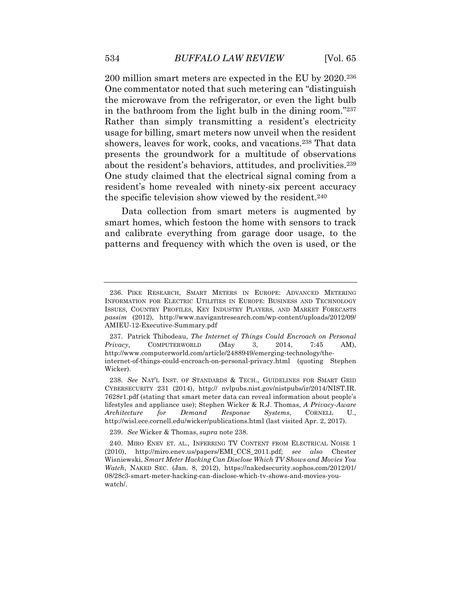200 million smart meters are expected in the EU by 2020.236 One commentator noted that such metering can "distinguish the microwave from the refrigerator, or even the light bulb in the bathroom from the light bulb in the dining room."237 Rather than simply transmitting a resident's electricity usage for billing, smart meters now unveil when the resident showers, leaves for work, cooks, and vacations.238 That data presents the groundwork for a multitude of observations about the resident's behaviors, attitudes, and proclivities.239 One study claimed that the electrical signal coming from a resident's home revealed with ninety-six percent accuracy the specific television show viewed by the resident.<sup>240</sup>

Data collection from smart meters is augmented by smart homes, which festoon the home with sensors to track and calibrate everything from garage door usage, to the patterns and frequency with which the oven is used, or the

239. *See* Wicker & Thomas, *supra* note 238.

<sup>236.</sup> PIKE RESEARCH, SMART METERS IN EUROPE: ADVANCED METERING INFORMATION FOR ELECTRIC UTILITIES IN EUROPE: BUSINESS AND TECHNOLOGY ISSUES, COUNTRY PROFILES, KEY INDUSTRY PLAYERS, AND MARKET FORECASTS *passim* (2012), http://www.navigantresearch.com/wp-content/uploads/2012/09/ AMIEU-12-Executive-Summary.pdf

<sup>237.</sup> Patrick Thibodeau, *The Internet of Things Could Encroach on Personal Privacy*, COMPUTERWORLD (May 3, 2014, 7:45 AM), http://www.computerworld.com/article/2488949/emerging-technology/theinternet-of-things-could-encroach-on-personal-privacy.html (quoting Stephen Wicker).

<sup>238.</sup> *See* NAT'L INST. OF STANDARDS & TECH., GUIDELINES FOR SMART GRID CYBERSECURITY 231 (2014), http:// nvlpubs.nist.gov/nistpubs/ir/2014/NIST.IR. 7628r1.pdf (stating that smart meter data can reveal information about people's lifestyles and appliance use); Stephen Wicker & R.J. Thomas, *A Privacy-Aware Architecture for Demand Response Systems*, CORNELL U., http://wisl.ece.cornell.edu/wicker/publications.html (last visited Apr. 2, 2017).

<sup>240.</sup> MIRO ENEV ET. AL., INFERRING TV CONTENT FROM ELECTRICAL NOISE 1 (2010), http://miro.enev.us/papers/EMI\_CCS\_2011.pdf; *see also* Chester Wisniewski, *Smart Meter Hacking Can Disclose Which TV Shows and Movies You Watch*, NAKED SEC. (Jan. 8, 2012), https://nakedsecurity.sophos.com/2012/01/ 08/28c3-smart-meter-hacking-can-disclose-which-tv-shows-and-movies-youwatch/.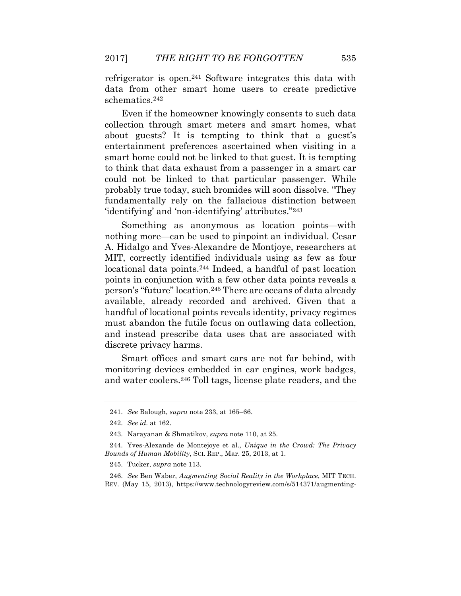refrigerator is open.241 Software integrates this data with data from other smart home users to create predictive schematics.242

Even if the homeowner knowingly consents to such data collection through smart meters and smart homes, what about guests? It is tempting to think that a guest's entertainment preferences ascertained when visiting in a smart home could not be linked to that guest. It is tempting to think that data exhaust from a passenger in a smart car could not be linked to that particular passenger. While probably true today, such bromides will soon dissolve. "They fundamentally rely on the fallacious distinction between 'identifying' and 'non-identifying' attributes."243

Something as anonymous as location points—with nothing more—can be used to pinpoint an individual. Cesar A. Hidalgo and Yves-Alexandre de Montjoye, researchers at MIT, correctly identified individuals using as few as four locational data points.244 Indeed, a handful of past location points in conjunction with a few other data points reveals a person's "future" location.245 There are oceans of data already available, already recorded and archived. Given that a handful of locational points reveals identity, privacy regimes must abandon the futile focus on outlawing data collection, and instead prescribe data uses that are associated with discrete privacy harms.

Smart offices and smart cars are not far behind, with monitoring devices embedded in car engines, work badges, and water coolers.246 Toll tags, license plate readers, and the

246. *See* Ben Waber, *Augmenting Social Reality in the Workplace*, MIT TECH. REV. (May 15, 2013), https://www.technologyreview.com/s/514371/augmenting-

<sup>241.</sup> *See* Balough, *supra* note 233, at 165–66.

<sup>242.</sup> *See id.* at 162.

<sup>243.</sup> Narayanan & Shmatikov, *supra* note 110, at 25.

<sup>244.</sup> Yves-Alexande de Montejoye et al., *Unique in the Crowd: The Privacy Bounds of Human Mobility*, SCI. REP., Mar. 25, 2013, at 1.

<sup>245.</sup> Tucker, *supra* note 113.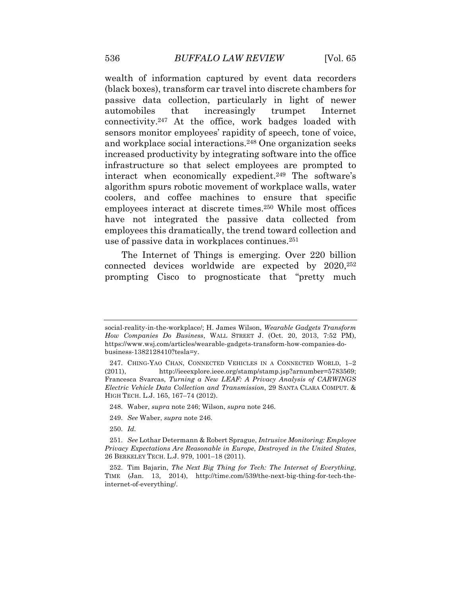wealth of information captured by event data recorders (black boxes), transform car travel into discrete chambers for passive data collection, particularly in light of newer automobiles that increasingly trumpet Internet connectivity.247 At the office, work badges loaded with sensors monitor employees' rapidity of speech, tone of voice, and workplace social interactions.248 One organization seeks increased productivity by integrating software into the office infrastructure so that select employees are prompted to interact when economically expedient.249 The software's algorithm spurs robotic movement of workplace walls, water coolers, and coffee machines to ensure that specific employees interact at discrete times.250 While most offices have not integrated the passive data collected from employees this dramatically, the trend toward collection and use of passive data in workplaces continues.251

The Internet of Things is emerging. Over 220 billion connected devices worldwide are expected by 2020,252 prompting Cisco to prognosticate that "pretty much

248. Waber, *supra* note 246; Wilson, *supra* note 246.

- 249. *See* Waber, *supra* note 246.
- 250. *Id.*

social-reality-in-the-workplace/; H. James Wilson, *Wearable Gadgets Transform How Companies Do Business*, WALL STREET J. (Oct. 20, 2013, 7:52 PM), https://www.wsj.com/articles/wearable-gadgets-transform-how-companies-dobusiness-1382128410?tesla=y.

<sup>247.</sup> CHING-YAO CHAN, CONNECTED VEHICLES IN A CONNECTED WORLD, 1–2 (2011), http://ieeexplore.ieee.org/stamp/stamp.jsp?arnumber=5783569; Francesca Svarcas, *Turning a New LEAF: A Privacy Analysis of CARWINGS Electric Vehicle Data Collection and Transmission*, 29 SANTA CLARA COMPUT. & HIGH TECH. L.J. 165, 167–74 (2012).

<sup>251.</sup> *See* Lothar Determann & Robert Sprague, *Intrusive Monitoring: Employee Privacy Expectations Are Reasonable in Europe*, *Destroyed in the United States*, 26 BERKELEY TECH. L.J. 979, 1001–18 (2011).

<sup>252.</sup> Tim Bajarin, *The Next Big Thing for Tech: The Internet of Everything*, TIME (Jan. 13, 2014), http://time.com/539/the-next-big-thing-for-tech-theinternet-of-everything/.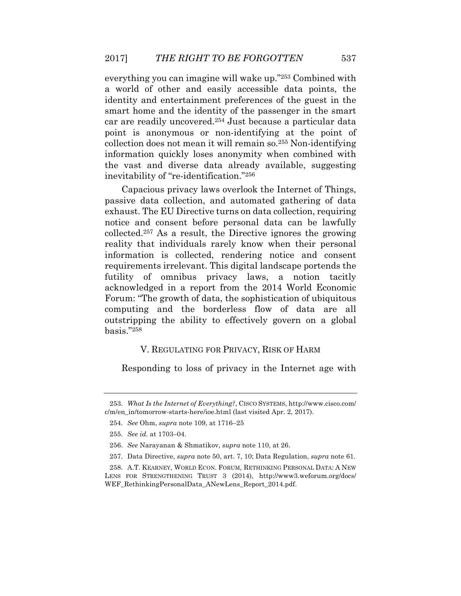everything you can imagine will wake up."253 Combined with a world of other and easily accessible data points, the identity and entertainment preferences of the guest in the smart home and the identity of the passenger in the smart car are readily uncovered.254 Just because a particular data point is anonymous or non-identifying at the point of collection does not mean it will remain so.255 Non-identifying information quickly loses anonymity when combined with the vast and diverse data already available, suggesting inevitability of "re-identification."256

Capacious privacy laws overlook the Internet of Things, passive data collection, and automated gathering of data exhaust. The EU Directive turns on data collection, requiring notice and consent before personal data can be lawfully collected.257 As a result, the Directive ignores the growing reality that individuals rarely know when their personal information is collected, rendering notice and consent requirements irrelevant. This digital landscape portends the futility of omnibus privacy laws, a notion tacitly acknowledged in a report from the 2014 World Economic Forum: "The growth of data, the sophistication of ubiquitous computing and the borderless flow of data are all outstripping the ability to effectively govern on a global basis."258

### V. REGULATING FOR PRIVACY, RISK OF HARM

Responding to loss of privacy in the Internet age with

<sup>253.</sup> *What Is the Internet of Everything?*, CISCO SYSTEMS, http://www.cisco.com/ c/m/en\_in/tomorrow-starts-here/ioe.html (last visited Apr. 2, 2017).

<sup>254.</sup> *See* Ohm, *supra* note 109, at 1716–25

<sup>255.</sup> *See id.* at 1703–04.

<sup>256.</sup> *See* Narayanan & Shmatikov, *supra* note 110, at 26.

<sup>257.</sup> Data Directive, *supra* note 50, art. 7, 10; Data Regulation, *supra* note 61.

<sup>258.</sup> A.T. KEARNEY, WORLD ECON. FORUM, RETHINKING PERSONAL DATA: A NEW LENS FOR STRENGTHENING TRUST 3 (2014), http://www3.weforum.org/docs/ WEF\_RethinkingPersonalData\_ANewLens\_Report\_2014.pdf.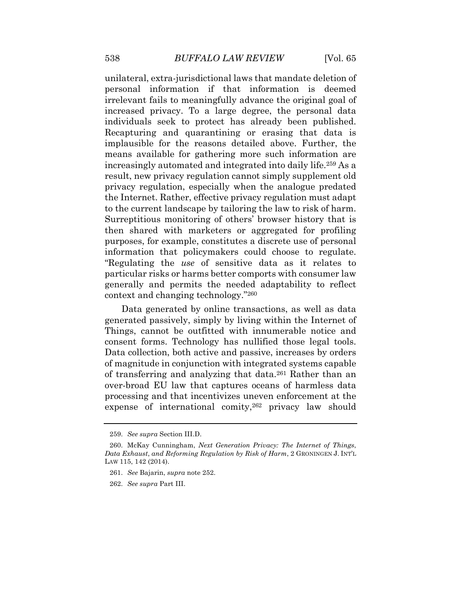unilateral, extra-jurisdictional laws that mandate deletion of personal information if that information is deemed irrelevant fails to meaningfully advance the original goal of increased privacy. To a large degree, the personal data individuals seek to protect has already been published. Recapturing and quarantining or erasing that data is implausible for the reasons detailed above. Further, the means available for gathering more such information are increasingly automated and integrated into daily life.259 As a result, new privacy regulation cannot simply supplement old privacy regulation, especially when the analogue predated the Internet. Rather, effective privacy regulation must adapt to the current landscape by tailoring the law to risk of harm. Surreptitious monitoring of others' browser history that is then shared with marketers or aggregated for profiling purposes, for example, constitutes a discrete use of personal information that policymakers could choose to regulate. "Regulating the *use* of sensitive data as it relates to particular risks or harms better comports with consumer law generally and permits the needed adaptability to reflect context and changing technology."260

Data generated by online transactions, as well as data generated passively, simply by living within the Internet of Things, cannot be outfitted with innumerable notice and consent forms. Technology has nullified those legal tools. Data collection, both active and passive, increases by orders of magnitude in conjunction with integrated systems capable of transferring and analyzing that data.261 Rather than an over-broad EU law that captures oceans of harmless data processing and that incentivizes uneven enforcement at the expense of international comity,262 privacy law should

<sup>259.</sup> *See supra* Section III.D.

<sup>260.</sup> McKay Cunningham, *Next Generation Privacy: The Internet of Things*, *Data Exhaust*, *and Reforming Regulation by Risk of Harm*, 2 GRONINGEN J. INT'L LAW 115, 142 (2014).

<sup>261.</sup> *See* Bajarin, *supra* note 252.

<sup>262.</sup> *See supra* Part III.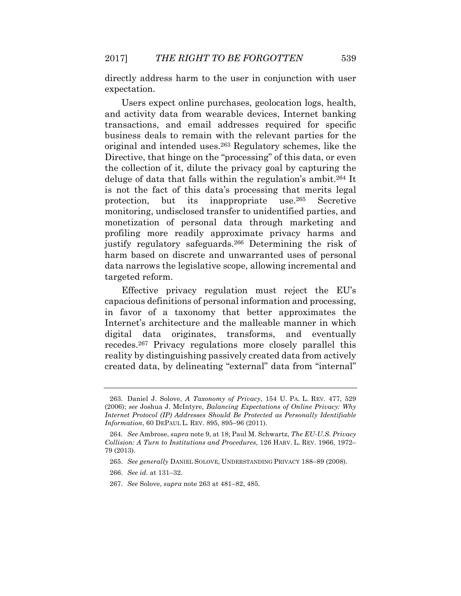directly address harm to the user in conjunction with user expectation.

Users expect online purchases, geolocation logs, health, and activity data from wearable devices, Internet banking transactions, and email addresses required for specific business deals to remain with the relevant parties for the original and intended uses.263 Regulatory schemes, like the Directive, that hinge on the "processing" of this data, or even the collection of it, dilute the privacy goal by capturing the deluge of data that falls within the regulation's ambit.264 It is not the fact of this data's processing that merits legal protection, but its inappropriate use.265 Secretive monitoring, undisclosed transfer to unidentified parties, and monetization of personal data through marketing and profiling more readily approximate privacy harms and justify regulatory safeguards.266 Determining the risk of harm based on discrete and unwarranted uses of personal data narrows the legislative scope, allowing incremental and targeted reform.

Effective privacy regulation must reject the EU's capacious definitions of personal information and processing, in favor of a taxonomy that better approximates the Internet's architecture and the malleable manner in which digital data originates, transforms, and eventually recedes.267 Privacy regulations more closely parallel this reality by distinguishing passively created data from actively created data, by delineating "external" data from "internal"

<sup>263.</sup> Daniel J. Solove, *A Taxonomy of Privacy*, 154 U. PA. L. REV. 477, 529 (2006); *see* Joshua J. McIntyre, *Balancing Expectations of Online Privacy: Why Internet Protocol (IP) Addresses Should Be Protected as Personally Identifiable Information*, 60 DEPAUL L. REV. 895, 895–96 (2011).

<sup>264.</sup> *See* Ambrose, *supra* note 9, at 18; Paul M. Schwartz, *The EU-U.S. Privacy Collision: A Turn to Institutions and Procedures*, 126 HARV. L. REV. 1966, 1972– 79 (2013).

<sup>265.</sup> *See generally* DANIEL SOLOVE, UNDERSTANDING PRIVACY 188–89 (2008).

<sup>266.</sup> *See id.* at 131–32.

<sup>267.</sup> *See* Solove, *supra* note 263 at 481–82, 485.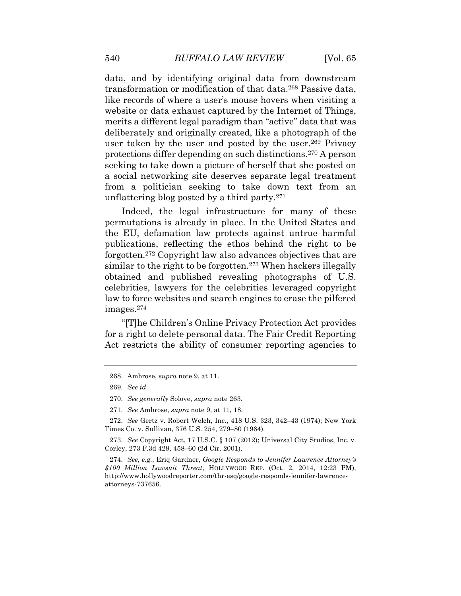data, and by identifying original data from downstream transformation or modification of that data.268 Passive data, like records of where a user's mouse hovers when visiting a website or data exhaust captured by the Internet of Things, merits a different legal paradigm than "active" data that was deliberately and originally created, like a photograph of the user taken by the user and posted by the user.269 Privacy protections differ depending on such distinctions.270 A person seeking to take down a picture of herself that she posted on a social networking site deserves separate legal treatment from a politician seeking to take down text from an unflattering blog posted by a third party.271

Indeed, the legal infrastructure for many of these permutations is already in place. In the United States and the EU, defamation law protects against untrue harmful publications, reflecting the ethos behind the right to be forgotten.272 Copyright law also advances objectives that are similar to the right to be forgotten.<sup>273</sup> When hackers illegally obtained and published revealing photographs of U.S. celebrities, lawyers for the celebrities leveraged copyright law to force websites and search engines to erase the pilfered images.274

"[T]he Children's Online Privacy Protection Act provides for a right to delete personal data. The Fair Credit Reporting Act restricts the ability of consumer reporting agencies to

<sup>268.</sup> Ambrose, *supra* note 9, at 11.

<sup>269.</sup> *See id*.

<sup>270.</sup> *See generally* Solove, *supra* note 263.

<sup>271.</sup> *See* Ambrose, *supra* note 9, at 11, 18.

<sup>272.</sup> *See* Gertz v. Robert Welch, Inc., 418 U.S. 323, 342–43 (1974); New York Times Co. v. Sullivan, 376 U.S. 254, 279–80 (1964).

<sup>273.</sup> *See* Copyright Act, 17 U.S.C. § 107 (2012); Universal City Studios, Inc. v. Corley, 273 F.3d 429, 458–60 (2d Cir. 2001).

<sup>274.</sup> *See, e.g.*, Eriq Gardner, *Google Responds to Jennifer Lawrence Attorney's \$100 Million Lawsuit Threat*, HOLLYWOOD REP. (Oct. 2, 2014, 12:23 PM), http://www.hollywoodreporter.com/thr-esq/google-responds-jennifer-lawrenceattorneys-737656.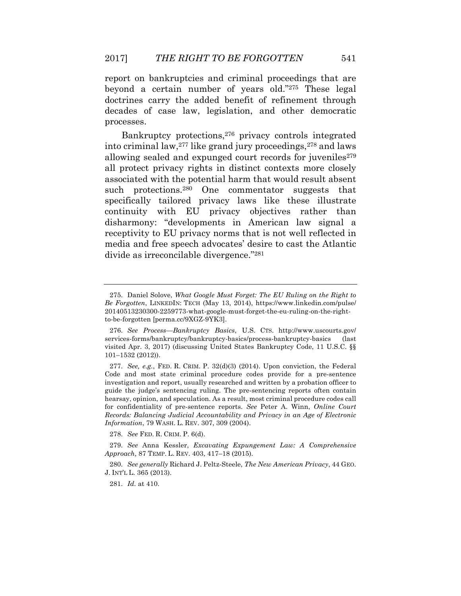report on bankruptcies and criminal proceedings that are beyond a certain number of years old."275 These legal doctrines carry the added benefit of refinement through decades of case law, legislation, and other democratic processes.

Bankruptcy protections,276 privacy controls integrated into criminal law,277 like grand jury proceedings,278 and laws allowing sealed and expunged court records for juveniles $279$ all protect privacy rights in distinct contexts more closely associated with the potential harm that would result absent such protections.<sup>280</sup> One commentator suggests that specifically tailored privacy laws like these illustrate continuity with EU privacy objectives rather than disharmony: "developments in American law signal a receptivity to EU privacy norms that is not well reflected in media and free speech advocates' desire to cast the Atlantic divide as irreconcilable divergence."281

278. *See* FED. R. CRIM. P. 6(d).

<sup>275.</sup> Daniel Solove, *What Google Must Forget: The EU Ruling on the Right to Be Forgotten*, LINKEDIN: TECH (May 13, 2014), https://www.linkedin.com/pulse/ 20140513230300-2259773-what-google-must-forget-the-eu-ruling-on-the-rightto-be-forgotten [perma.cc/9XGZ-9YK3].

<sup>276.</sup> *See Process—Bankruptcy Basics*, U.S. CTS. http://www.uscourts.gov/ services-forms/bankruptcy/bankruptcy-basics/process-bankruptcy-basics (last visited Apr. 3, 2017) (discussing United States Bankruptcy Code, 11 U.S.C. §§ 101–1532 (2012)).

<sup>277.</sup> *See, e.g.*, FED. R. CRIM. P. 32(d)(3) (2014). Upon conviction, the Federal Code and most state criminal procedure codes provide for a pre-sentence investigation and report, usually researched and written by a probation officer to guide the judge's sentencing ruling. The pre-sentencing reports often contain hearsay, opinion, and speculation. As a result, most criminal procedure codes call for confidentiality of pre-sentence reports. *See* Peter A. Winn, *Online Court Records: Balancing Judicial Accountability and Privacy in an Age of Electronic Information*, 79 WASH. L. REV. 307, 309 (2004).

<sup>279.</sup> *See* Anna Kessler, *Excavating Expungement Law: A Comprehensive Approach*, 87 TEMP. L. REV. 403, 417–18 (2015).

<sup>280.</sup> *See generally* Richard J. Peltz-Steele, *The New American Privacy*, 44 GEO. J. INT'L L. 365 (2013).

<sup>281.</sup> *Id.* at 410.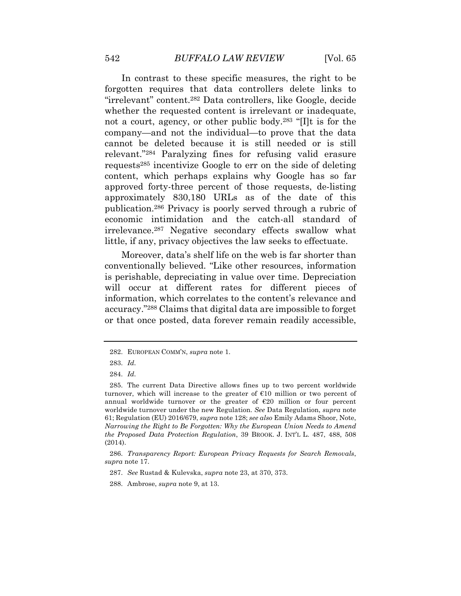In contrast to these specific measures, the right to be forgotten requires that data controllers delete links to "irrelevant" content.282 Data controllers, like Google, decide whether the requested content is irrelevant or inadequate, not a court, agency, or other public body.283 "[I]t is for the company—and not the individual—to prove that the data cannot be deleted because it is still needed or is still relevant."284 Paralyzing fines for refusing valid erasure requests285 incentivize Google to err on the side of deleting content, which perhaps explains why Google has so far approved forty-three percent of those requests, de-listing approximately 830,180 URLs as of the date of this publication.286 Privacy is poorly served through a rubric of economic intimidation and the catch-all standard of irrelevance.287 Negative secondary effects swallow what little, if any, privacy objectives the law seeks to effectuate.

Moreover, data's shelf life on the web is far shorter than conventionally believed. "Like other resources, information is perishable, depreciating in value over time. Depreciation will occur at different rates for different pieces of information, which correlates to the content's relevance and accuracy."288 Claims that digital data are impossible to forget or that once posted, data forever remain readily accessible,

<sup>282.</sup> EUROPEAN COMM'N, *supra* note 1.

<sup>283.</sup> *Id.*

<sup>284.</sup> *Id.*

<sup>285.</sup> The current Data Directive allows fines up to two percent worldwide turnover, which will increase to the greater of  $E10$  million or two percent of annual worldwide turnover or the greater of  $E20$  million or four percent worldwide turnover under the new Regulation. *See* Data Regulation, *supra* note 61; Regulation (EU) 2016/679, *supra* note 128; *see also* Emily Adams Shoor, Note, *Narrowing the Right to Be Forgotten: Why the European Union Needs to Amend the Proposed Data Protection Regulation*, 39 BROOK. J. INT'L L. 487, 488, 508 (2014).

<sup>286.</sup> *Transparency Report: European Privacy Requests for Search Removals*, *supra* note 17.

<sup>287.</sup> *See* Rustad & Kulevska, *supra* note 23, at 370, 373.

<sup>288.</sup> Ambrose, *supra* note 9, at 13.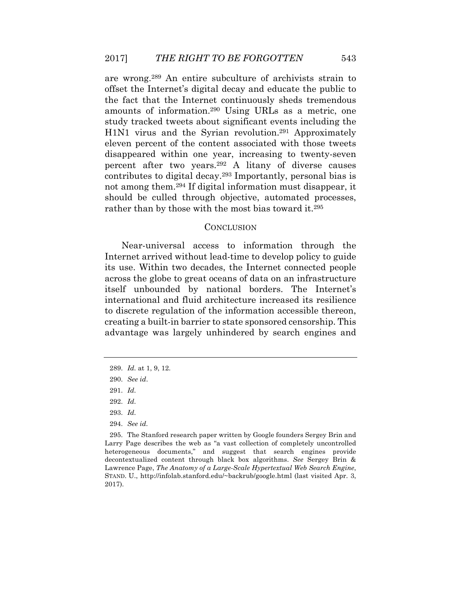are wrong.289 An entire subculture of archivists strain to offset the Internet's digital decay and educate the public to the fact that the Internet continuously sheds tremendous amounts of information.290 Using URLs as a metric, one study tracked tweets about significant events including the H1N1 virus and the Syrian revolution.<sup>291</sup> Approximately eleven percent of the content associated with those tweets disappeared within one year, increasing to twenty-seven percent after two years.292 A litany of diverse causes contributes to digital decay.293 Importantly, personal bias is not among them.294 If digital information must disappear, it should be culled through objective, automated processes, rather than by those with the most bias toward it.<sup>295</sup>

#### **CONCLUSION**

Near-universal access to information through the Internet arrived without lead-time to develop policy to guide its use. Within two decades, the Internet connected people across the globe to great oceans of data on an infrastructure itself unbounded by national borders. The Internet's international and fluid architecture increased its resilience to discrete regulation of the information accessible thereon, creating a built-in barrier to state sponsored censorship. This advantage was largely unhindered by search engines and

- 293. *Id.*
- 294. *See id.*

<sup>289.</sup> *Id.* at 1, 9, 12.

<sup>290.</sup> *See id*.

<sup>291.</sup> *Id.*

<sup>292.</sup> *Id.* 

<sup>295.</sup> The Stanford research paper written by Google founders Sergey Brin and Larry Page describes the web as "a vast collection of completely uncontrolled heterogeneous documents," and suggest that search engines provide decontextualized content through black box algorithms. *See* Sergey Brin & Lawrence Page, *The Anatomy of a Large-Scale Hypertextual Web Search Engine*, STAND. U., http://infolab.stanford.edu/~backrub/google.html (last visited Apr. 3, 2017).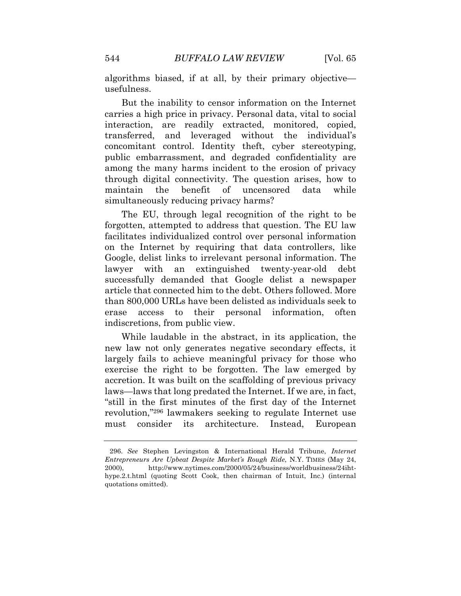algorithms biased, if at all, by their primary objective usefulness.

But the inability to censor information on the Internet carries a high price in privacy. Personal data, vital to social interaction, are readily extracted, monitored, copied, transferred, and leveraged without the individual's concomitant control. Identity theft, cyber stereotyping, public embarrassment, and degraded confidentiality are among the many harms incident to the erosion of privacy through digital connectivity. The question arises, how to maintain the benefit of uncensored data while simultaneously reducing privacy harms?

The EU, through legal recognition of the right to be forgotten, attempted to address that question. The EU law facilitates individualized control over personal information on the Internet by requiring that data controllers, like Google, delist links to irrelevant personal information. The lawyer with an extinguished twenty-year-old debt successfully demanded that Google delist a newspaper article that connected him to the debt. Others followed. More than 800,000 URLs have been delisted as individuals seek to erase access to their personal information, often indiscretions, from public view.

While laudable in the abstract, in its application, the new law not only generates negative secondary effects, it largely fails to achieve meaningful privacy for those who exercise the right to be forgotten. The law emerged by accretion. It was built on the scaffolding of previous privacy laws—laws that long predated the Internet. If we are, in fact, "still in the first minutes of the first day of the Internet revolution,"296 lawmakers seeking to regulate Internet use must consider its architecture. Instead, European

<sup>296.</sup> *See* Stephen Levingston & International Herald Tribune, *Internet Entrepreneurs Are Upbeat Despite Market's Rough Ride*, N.Y. TIMES (May 24, 2000), http://www.nytimes.com/2000/05/24/business/worldbusiness/24ihthype.2.t.html (quoting Scott Cook, then chairman of Intuit, Inc.) (internal quotations omitted).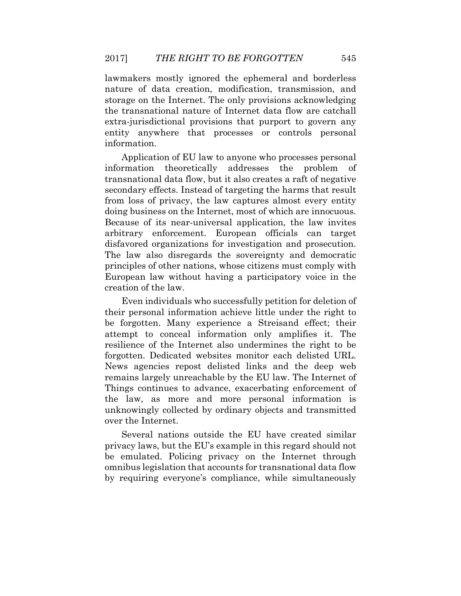lawmakers mostly ignored the ephemeral and borderless nature of data creation, modification, transmission, and storage on the Internet. The only provisions acknowledging the transnational nature of Internet data flow are catchall extra-jurisdictional provisions that purport to govern any entity anywhere that processes or controls personal information.

Application of EU law to anyone who processes personal information theoretically addresses the problem of transnational data flow, but it also creates a raft of negative secondary effects. Instead of targeting the harms that result from loss of privacy, the law captures almost every entity doing business on the Internet, most of which are innocuous. Because of its near-universal application, the law invites arbitrary enforcement. European officials can target disfavored organizations for investigation and prosecution. The law also disregards the sovereignty and democratic principles of other nations, whose citizens must comply with European law without having a participatory voice in the creation of the law.

Even individuals who successfully petition for deletion of their personal information achieve little under the right to be forgotten. Many experience a Streisand effect; their attempt to conceal information only amplifies it. The resilience of the Internet also undermines the right to be forgotten. Dedicated websites monitor each delisted URL. News agencies repost delisted links and the deep web remains largely unreachable by the EU law. The Internet of Things continues to advance, exacerbating enforcement of the law, as more and more personal information is unknowingly collected by ordinary objects and transmitted over the Internet.

Several nations outside the EU have created similar privacy laws, but the EU's example in this regard should not be emulated. Policing privacy on the Internet through omnibus legislation that accounts for transnational data flow by requiring everyone's compliance, while simultaneously